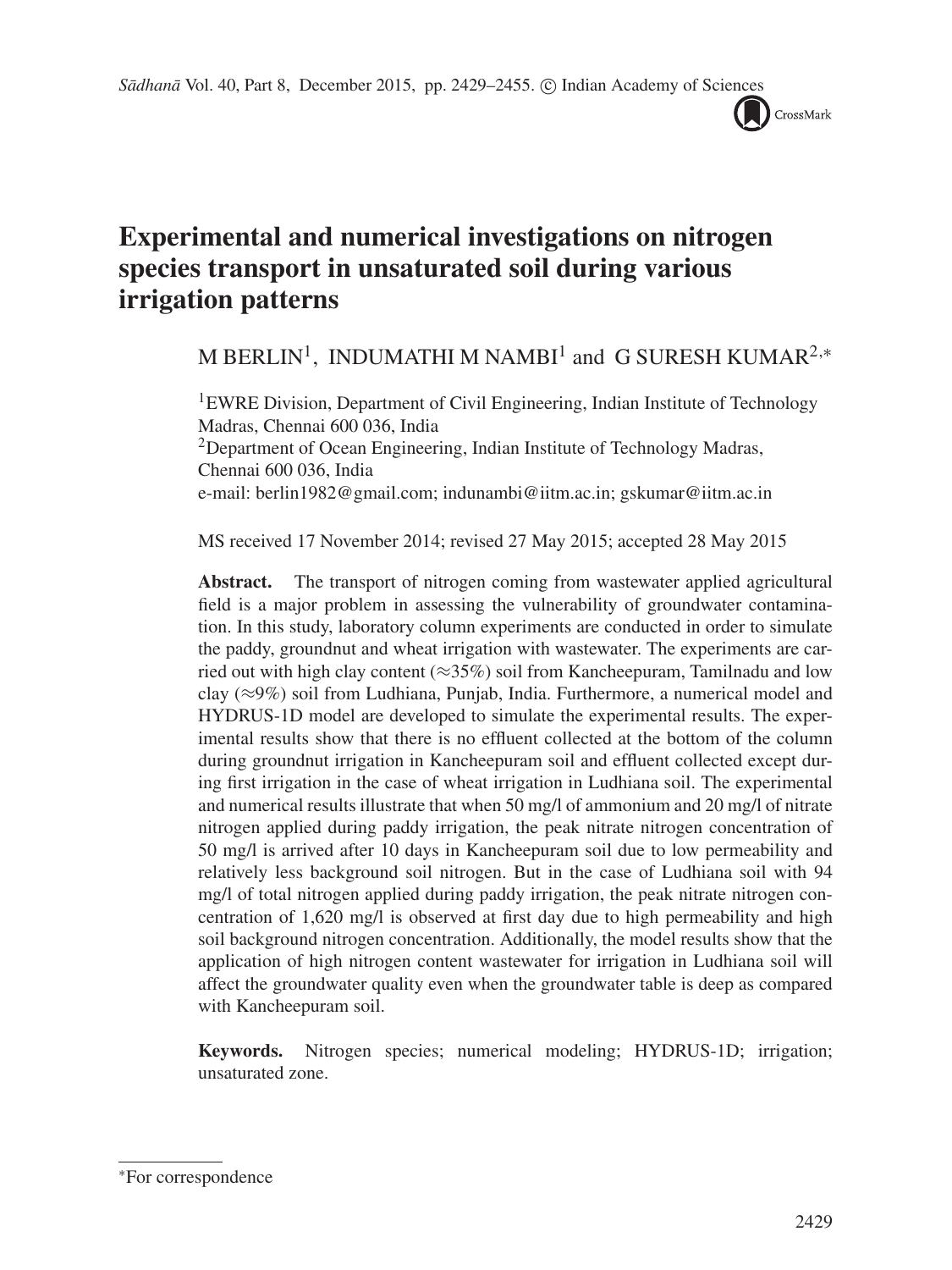# **Experimental and numerical investigations on nitrogen species transport in unsaturated soil during various irrigation patterns**

# M BERLIN<sup>1</sup>, INDUMATHI M NAMBI<sup>1</sup> and G SURESH KUMAR<sup>2,\*</sup>

<sup>1</sup>EWRE Division, Department of Civil Engineering, Indian Institute of Technology Madras, Chennai 600 036, India 2Department of Ocean Engineering, Indian Institute of Technology Madras, Chennai 600 036, India e-mail: berlin1982@gmail.com; indunambi@iitm.ac.in; gskumar@iitm.ac.in

MS received 17 November 2014; revised 27 May 2015; accepted 28 May 2015

**Abstract.** The transport of nitrogen coming from wastewater applied agricultural field is a major problem in assessing the vulnerability of groundwater contamination. In this study, laboratory column experiments are conducted in order to simulate the paddy, groundnut and wheat irrigation with wastewater. The experiments are carried out with high clay content ( $\approx$ 35%) soil from Kancheepuram, Tamilnadu and low clay ( $\approx$ 9%) soil from Ludhiana, Punjab, India. Furthermore, a numerical model and HYDRUS-1D model are developed to simulate the experimental results. The experimental results show that there is no effluent collected at the bottom of the column during groundnut irrigation in Kancheepuram soil and effluent collected except during first irrigation in the case of wheat irrigation in Ludhiana soil. The experimental and numerical results illustrate that when 50 mg/l of ammonium and 20 mg/l of nitrate nitrogen applied during paddy irrigation, the peak nitrate nitrogen concentration of 50 mg/l is arrived after 10 days in Kancheepuram soil due to low permeability and relatively less background soil nitrogen. But in the case of Ludhiana soil with 94 mg/l of total nitrogen applied during paddy irrigation, the peak nitrate nitrogen concentration of 1,620 mg/l is observed at first day due to high permeability and high soil background nitrogen concentration. Additionally, the model results show that the application of high nitrogen content wastewater for irrigation in Ludhiana soil will affect the groundwater quality even when the groundwater table is deep as compared with Kancheepuram soil.

**Keywords.** Nitrogen species; numerical modeling; HYDRUS-1D; irrigation; unsaturated zone.

CrossMark

<sup>∗</sup>For correspondence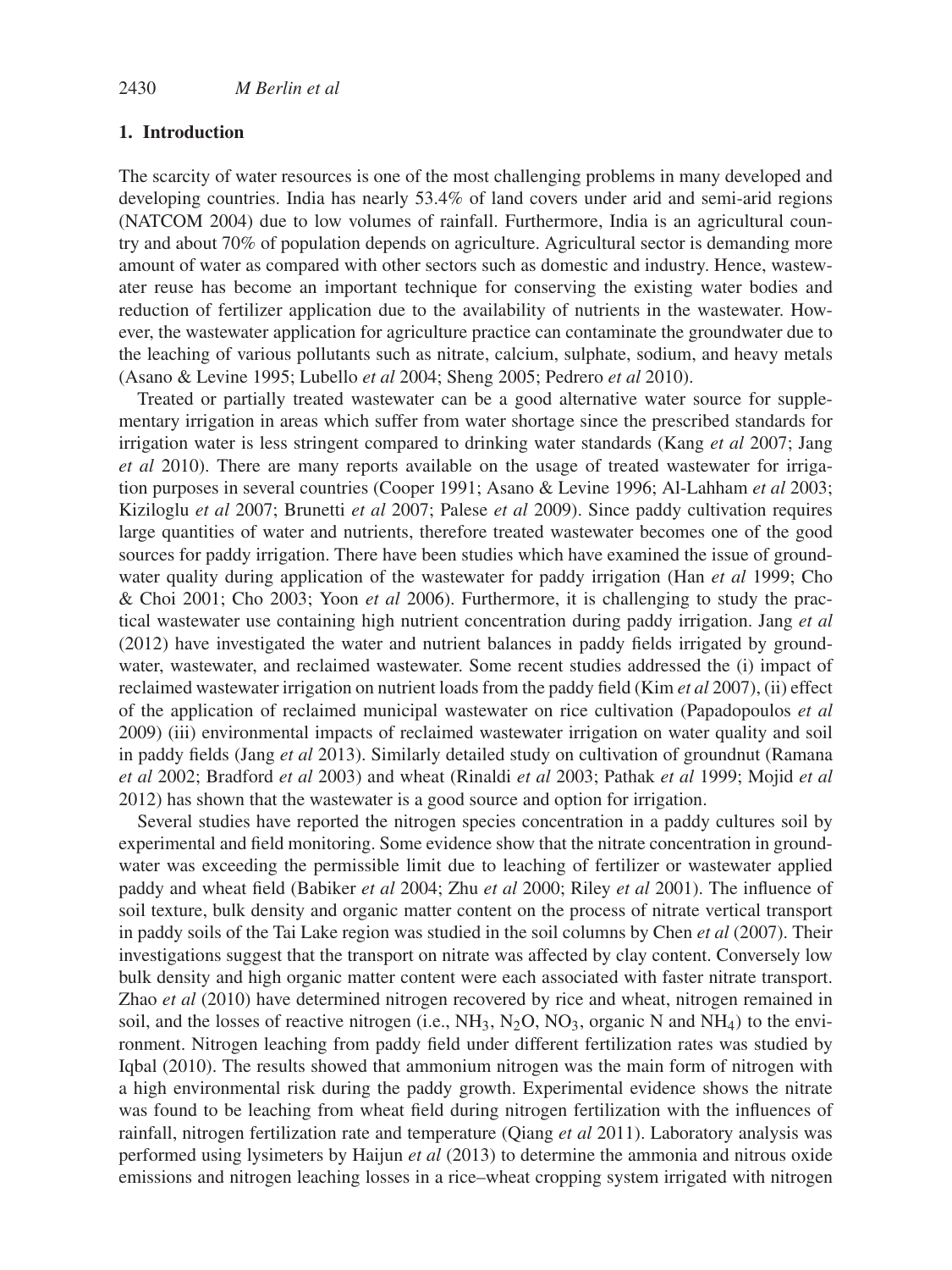## **1. Introduction**

The scarcity of water resources is one of the most challenging problems in many developed and developing countries. India has nearly 53.4% of land covers under arid and semi-arid regions (NATCOM 2004) due to low volumes of rainfall. Furthermore, India is an agricultural country and about 70% of population depends on agriculture. Agricultural sector is demanding more amount of water as compared with other sectors such as domestic and industry. Hence, wastewater reuse has become an important technique for conserving the existing water bodies and reduction of fertilizer application due to the availability of nutrients in the wastewater. However, the wastewater application for agriculture practice can contaminate the groundwater due to the leaching of various pollutants such as nitrate, calcium, sulphate, sodium, and heavy metals (Asano & Levine 1995; Lubello *et al* 2004; Sheng 2005; Pedrero *et al* 2010).

Treated or partially treated wastewater can be a good alternative water source for supplementary irrigation in areas which suffer from water shortage since the prescribed standards for irrigation water is less stringent compared to drinking water standards (Kang *et al* 2007; Jang *et al* 2010). There are many reports available on the usage of treated wastewater for irrigation purposes in several countries (Cooper 1991; Asano & Levine 1996; Al-Lahham *et al* 2003; Kiziloglu *et al* 2007; Brunetti *et al* 2007; Palese *et al* 2009). Since paddy cultivation requires large quantities of water and nutrients, therefore treated wastewater becomes one of the good sources for paddy irrigation. There have been studies which have examined the issue of groundwater quality during application of the wastewater for paddy irrigation (Han *et al* 1999; Cho & Choi 2001; Cho 2003; Yoon *et al* 2006). Furthermore, it is challenging to study the practical wastewater use containing high nutrient concentration during paddy irrigation. Jang *et al* (2012) have investigated the water and nutrient balances in paddy fields irrigated by groundwater, wastewater, and reclaimed wastewater. Some recent studies addressed the (i) impact of reclaimed wastewater irrigation on nutrient loads from the paddy field (Kim *et al* 2007), (ii) effect of the application of reclaimed municipal wastewater on rice cultivation (Papadopoulos *et al* 2009) (iii) environmental impacts of reclaimed wastewater irrigation on water quality and soil in paddy fields (Jang *et al* 2013). Similarly detailed study on cultivation of groundnut (Ramana *et al* 2002; Bradford *et al* 2003) and wheat (Rinaldi *et al* 2003; Pathak *et al* 1999; Mojid *et al* 2012) has shown that the wastewater is a good source and option for irrigation.

Several studies have reported the nitrogen species concentration in a paddy cultures soil by experimental and field monitoring. Some evidence show that the nitrate concentration in groundwater was exceeding the permissible limit due to leaching of fertilizer or wastewater applied paddy and wheat field (Babiker *et al* 2004; Zhu *et al* 2000; Riley *et al* 2001). The influence of soil texture, bulk density and organic matter content on the process of nitrate vertical transport in paddy soils of the Tai Lake region was studied in the soil columns by Chen *et al* (2007). Their investigations suggest that the transport on nitrate was affected by clay content. Conversely low bulk density and high organic matter content were each associated with faster nitrate transport. Zhao *et al* (2010) have determined nitrogen recovered by rice and wheat, nitrogen remained in soil, and the losses of reactive nitrogen (i.e.,  $NH_3$ ,  $N_2O$ ,  $NO_3$ , organic N and  $NH_4$ ) to the environment. Nitrogen leaching from paddy field under different fertilization rates was studied by Iqbal (2010). The results showed that ammonium nitrogen was the main form of nitrogen with a high environmental risk during the paddy growth. Experimental evidence shows the nitrate was found to be leaching from wheat field during nitrogen fertilization with the influences of rainfall, nitrogen fertilization rate and temperature (Qiang *et al* 2011). Laboratory analysis was performed using lysimeters by Haijun *et al* (2013) to determine the ammonia and nitrous oxide emissions and nitrogen leaching losses in a rice–wheat cropping system irrigated with nitrogen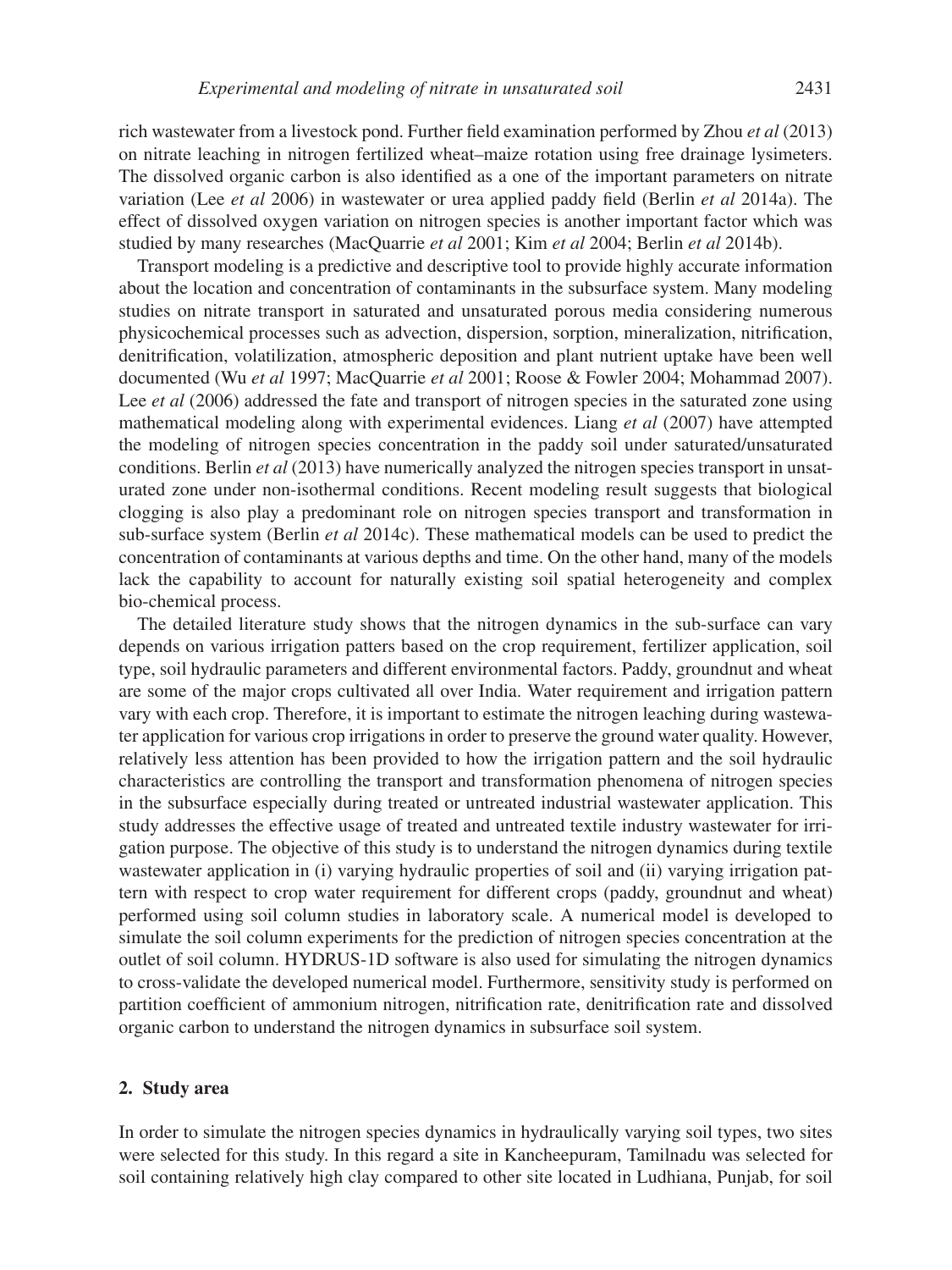rich wastewater from a livestock pond. Further field examination performed by Zhou *et al* (2013) on nitrate leaching in nitrogen fertilized wheat–maize rotation using free drainage lysimeters. The dissolved organic carbon is also identified as a one of the important parameters on nitrate variation (Lee *et al* 2006) in wastewater or urea applied paddy field (Berlin *et al* 2014a). The effect of dissolved oxygen variation on nitrogen species is another important factor which was studied by many researches (MacQuarrie *et al* 2001; Kim *et al* 2004; Berlin *et al* 2014b).

Transport modeling is a predictive and descriptive tool to provide highly accurate information about the location and concentration of contaminants in the subsurface system. Many modeling studies on nitrate transport in saturated and unsaturated porous media considering numerous physicochemical processes such as advection, dispersion, sorption, mineralization, nitrification, denitrification, volatilization, atmospheric deposition and plant nutrient uptake have been well documented (Wu *et al* 1997; MacQuarrie *et al* 2001; Roose & Fowler 2004; Mohammad 2007). Lee *et al* (2006) addressed the fate and transport of nitrogen species in the saturated zone using mathematical modeling along with experimental evidences. Liang *et al* (2007) have attempted the modeling of nitrogen species concentration in the paddy soil under saturated/unsaturated conditions. Berlin *et al* (2013) have numerically analyzed the nitrogen species transport in unsaturated zone under non-isothermal conditions. Recent modeling result suggests that biological clogging is also play a predominant role on nitrogen species transport and transformation in sub-surface system (Berlin *et al* 2014c). These mathematical models can be used to predict the concentration of contaminants at various depths and time. On the other hand, many of the models lack the capability to account for naturally existing soil spatial heterogeneity and complex bio-chemical process.

The detailed literature study shows that the nitrogen dynamics in the sub-surface can vary depends on various irrigation patters based on the crop requirement, fertilizer application, soil type, soil hydraulic parameters and different environmental factors. Paddy, groundnut and wheat are some of the major crops cultivated all over India. Water requirement and irrigation pattern vary with each crop. Therefore, it is important to estimate the nitrogen leaching during wastewater application for various crop irrigations in order to preserve the ground water quality. However, relatively less attention has been provided to how the irrigation pattern and the soil hydraulic characteristics are controlling the transport and transformation phenomena of nitrogen species in the subsurface especially during treated or untreated industrial wastewater application. This study addresses the effective usage of treated and untreated textile industry wastewater for irrigation purpose. The objective of this study is to understand the nitrogen dynamics during textile wastewater application in (i) varying hydraulic properties of soil and (ii) varying irrigation pattern with respect to crop water requirement for different crops (paddy, groundnut and wheat) performed using soil column studies in laboratory scale. A numerical model is developed to simulate the soil column experiments for the prediction of nitrogen species concentration at the outlet of soil column. HYDRUS-1D software is also used for simulating the nitrogen dynamics to cross-validate the developed numerical model. Furthermore, sensitivity study is performed on partition coefficient of ammonium nitrogen, nitrification rate, denitrification rate and dissolved organic carbon to understand the nitrogen dynamics in subsurface soil system.

### **2. Study area**

In order to simulate the nitrogen species dynamics in hydraulically varying soil types, two sites were selected for this study. In this regard a site in Kancheepuram, Tamilnadu was selected for soil containing relatively high clay compared to other site located in Ludhiana, Punjab, for soil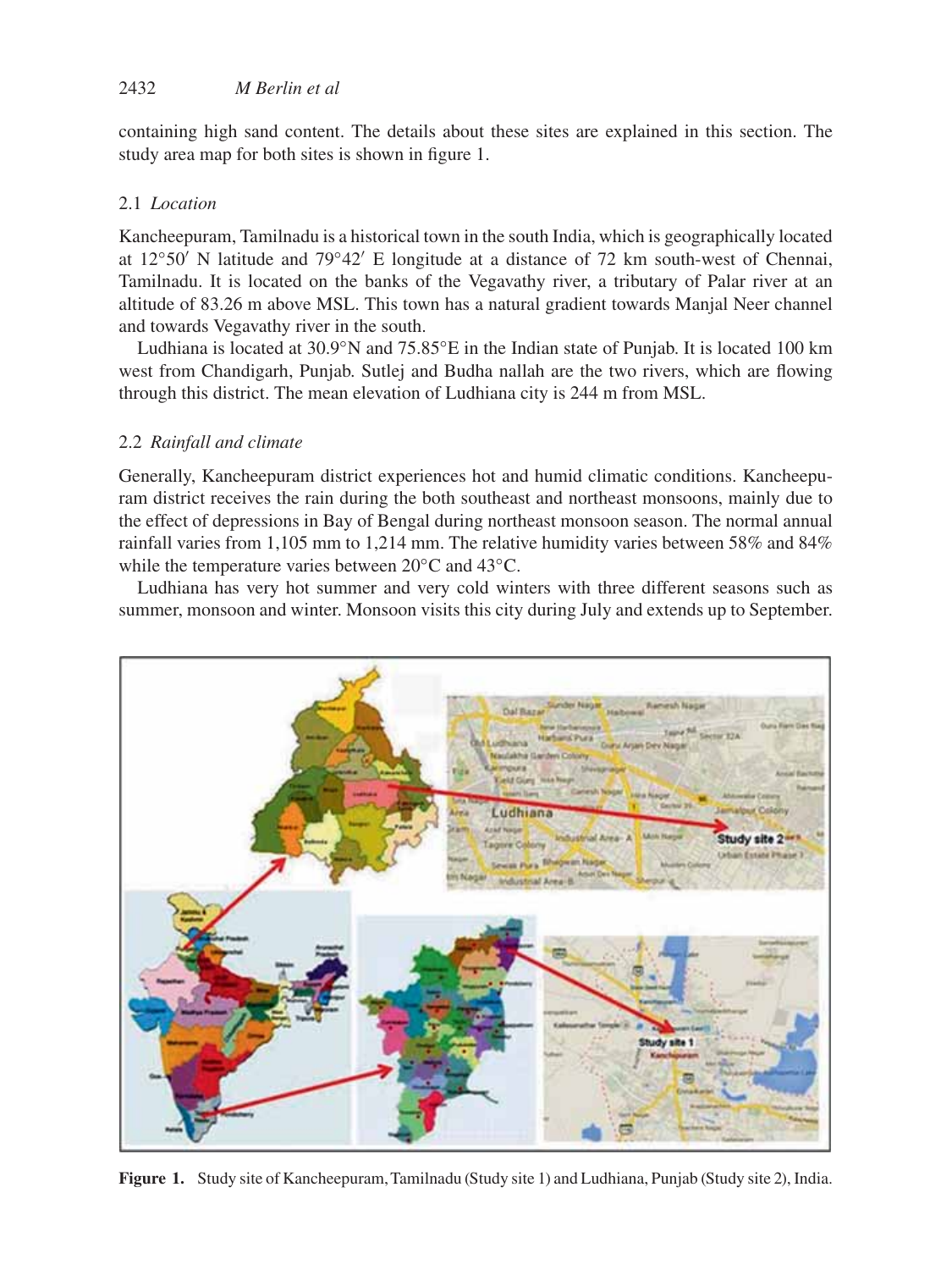containing high sand content. The details about these sites are explained in this section. The study area map for both sites is shown in figure 1.

# 2.1 *Location*

Kancheepuram, Tamilnadu is a historical town in the south India, which is geographically located at  $12°50'$  N latitude and  $79°42'$  E longitude at a distance of 72 km south-west of Chennai, Tamilnadu. It is located on the banks of the Vegavathy river, a tributary of Palar river at an altitude of 83.26 m above MSL. This town has a natural gradient towards Manjal Neer channel and towards Vegavathy river in the south.

Ludhiana is located at 30.9◦N and 75.85◦E in the Indian state of Punjab. It is located 100 km west from Chandigarh, Punjab. Sutlej and Budha nallah are the two rivers, which are flowing through this district. The mean elevation of Ludhiana city is 244 m from MSL.

# 2.2 *Rainfall and climate*

Generally, Kancheepuram district experiences hot and humid climatic conditions. Kancheepuram district receives the rain during the both southeast and northeast monsoons, mainly due to the effect of depressions in Bay of Bengal during northeast monsoon season. The normal annual rainfall varies from 1,105 mm to 1,214 mm. The relative humidity varies between 58% and 84% while the temperature varies between 20◦C and 43◦C.

Ludhiana has very hot summer and very cold winters with three different seasons such as summer, monsoon and winter. Monsoon visits this city during July and extends up to September.



Figure 1. Study site of Kancheepuram, Tamilnadu (Study site 1) and Ludhiana, Punjab (Study site 2), India.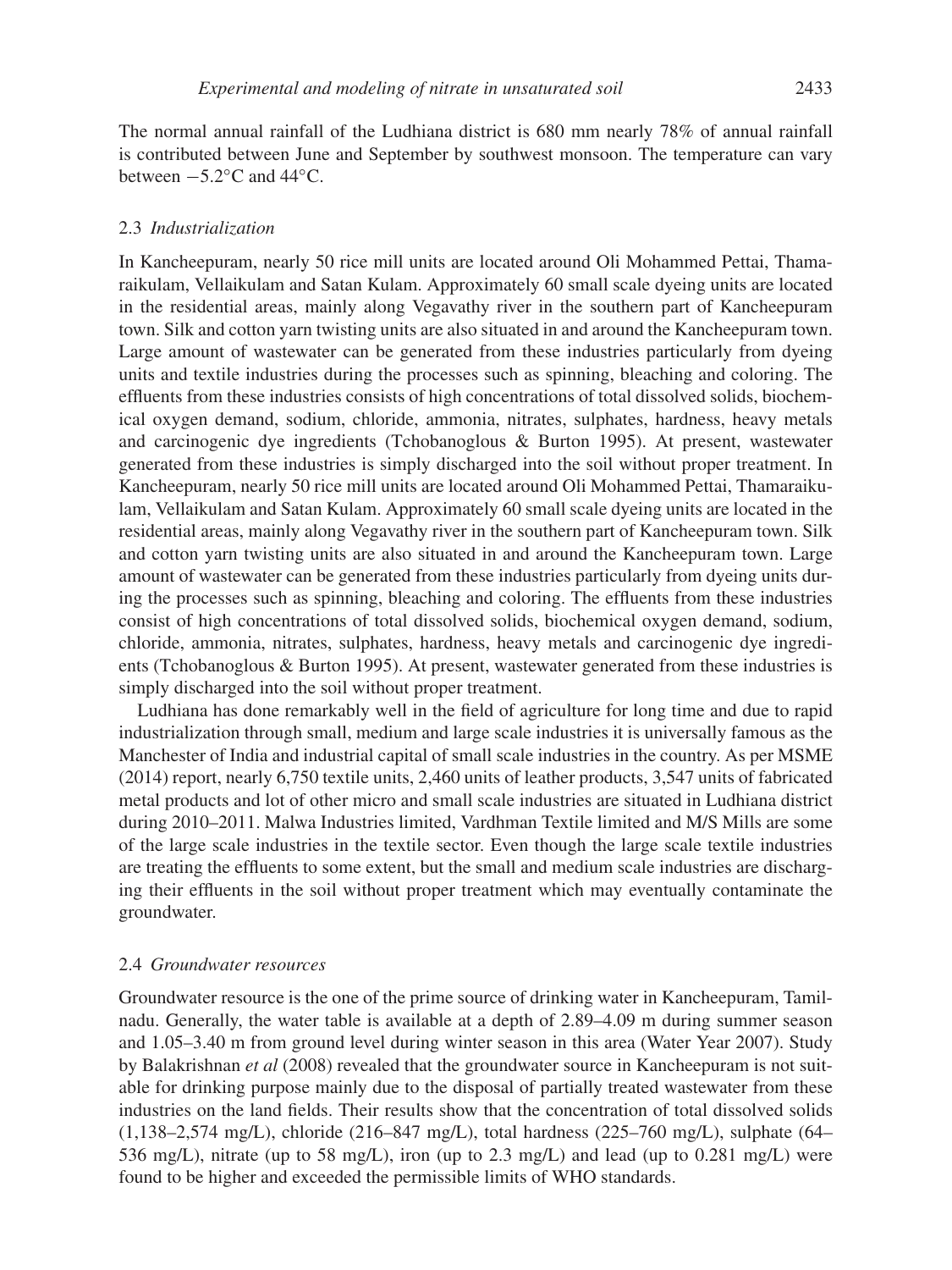The normal annual rainfall of the Ludhiana district is 680 mm nearly 78% of annual rainfall is contributed between June and September by southwest monsoon. The temperature can vary between −5.2◦C and 44◦C.

## 2.3 *Industrialization*

In Kancheepuram, nearly 50 rice mill units are located around Oli Mohammed Pettai, Thamaraikulam, Vellaikulam and Satan Kulam. Approximately 60 small scale dyeing units are located in the residential areas, mainly along Vegavathy river in the southern part of Kancheepuram town. Silk and cotton yarn twisting units are also situated in and around the Kancheepuram town. Large amount of wastewater can be generated from these industries particularly from dyeing units and textile industries during the processes such as spinning, bleaching and coloring. The effluents from these industries consists of high concentrations of total dissolved solids, biochemical oxygen demand, sodium, chloride, ammonia, nitrates, sulphates, hardness, heavy metals and carcinogenic dye ingredients (Tchobanoglous & Burton 1995). At present, wastewater generated from these industries is simply discharged into the soil without proper treatment. In Kancheepuram, nearly 50 rice mill units are located around Oli Mohammed Pettai, Thamaraikulam, Vellaikulam and Satan Kulam. Approximately 60 small scale dyeing units are located in the residential areas, mainly along Vegavathy river in the southern part of Kancheepuram town. Silk and cotton yarn twisting units are also situated in and around the Kancheepuram town. Large amount of wastewater can be generated from these industries particularly from dyeing units during the processes such as spinning, bleaching and coloring. The effluents from these industries consist of high concentrations of total dissolved solids, biochemical oxygen demand, sodium, chloride, ammonia, nitrates, sulphates, hardness, heavy metals and carcinogenic dye ingredients (Tchobanoglous & Burton 1995). At present, wastewater generated from these industries is simply discharged into the soil without proper treatment.

Ludhiana has done remarkably well in the field of agriculture for long time and due to rapid industrialization through small, medium and large scale industries it is universally famous as the Manchester of India and industrial capital of small scale industries in the country. As per MSME (2014) report, nearly 6,750 textile units, 2,460 units of leather products, 3,547 units of fabricated metal products and lot of other micro and small scale industries are situated in Ludhiana district during 2010–2011. Malwa Industries limited, Vardhman Textile limited and M/S Mills are some of the large scale industries in the textile sector. Even though the large scale textile industries are treating the effluents to some extent, but the small and medium scale industries are discharging their effluents in the soil without proper treatment which may eventually contaminate the groundwater.

#### 2.4 *Groundwater resources*

Groundwater resource is the one of the prime source of drinking water in Kancheepuram, Tamilnadu. Generally, the water table is available at a depth of 2.89–4.09 m during summer season and 1.05–3.40 m from ground level during winter season in this area (Water Year 2007). Study by Balakrishnan *et al* (2008) revealed that the groundwater source in Kancheepuram is not suitable for drinking purpose mainly due to the disposal of partially treated wastewater from these industries on the land fields. Their results show that the concentration of total dissolved solids (1,138–2,574 mg/L), chloride (216–847 mg/L), total hardness (225–760 mg/L), sulphate (64– 536 mg/L), nitrate (up to 58 mg/L), iron (up to 2.3 mg/L) and lead (up to 0.281 mg/L) were found to be higher and exceeded the permissible limits of WHO standards.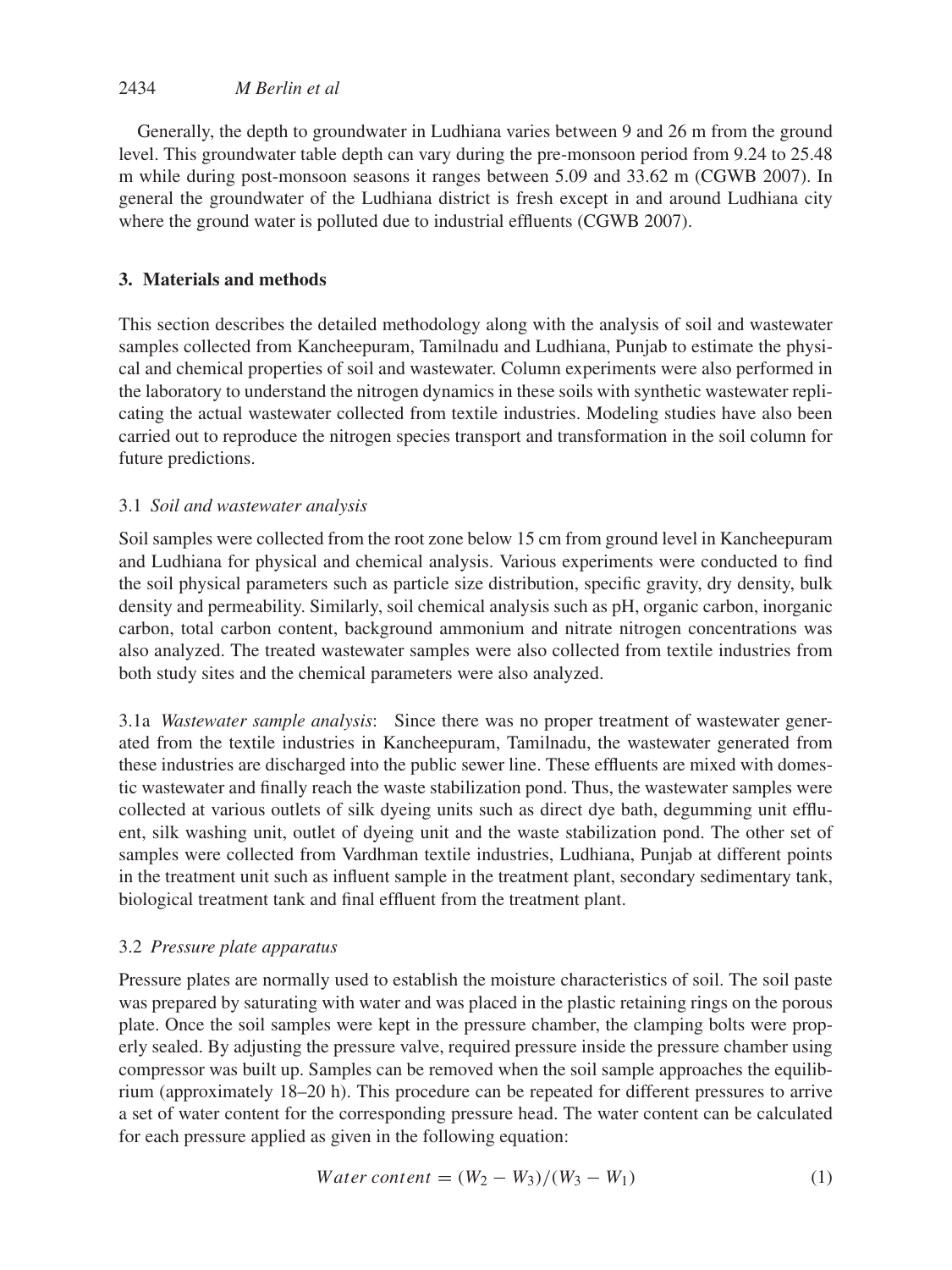# 2434 *M Berlin et al*

Generally, the depth to groundwater in Ludhiana varies between 9 and 26 m from the ground level. This groundwater table depth can vary during the pre-monsoon period from 9.24 to 25.48 m while during post-monsoon seasons it ranges between 5.09 and 33.62 m (CGWB 2007). In general the groundwater of the Ludhiana district is fresh except in and around Ludhiana city where the ground water is polluted due to industrial effluents (CGWB 2007).

# **3. Materials and methods**

This section describes the detailed methodology along with the analysis of soil and wastewater samples collected from Kancheepuram, Tamilnadu and Ludhiana, Punjab to estimate the physical and chemical properties of soil and wastewater. Column experiments were also performed in the laboratory to understand the nitrogen dynamics in these soils with synthetic wastewater replicating the actual wastewater collected from textile industries. Modeling studies have also been carried out to reproduce the nitrogen species transport and transformation in the soil column for future predictions.

# 3.1 *Soil and wastewater analysis*

Soil samples were collected from the root zone below 15 cm from ground level in Kancheepuram and Ludhiana for physical and chemical analysis. Various experiments were conducted to find the soil physical parameters such as particle size distribution, specific gravity, dry density, bulk density and permeability. Similarly, soil chemical analysis such as pH, organic carbon, inorganic carbon, total carbon content, background ammonium and nitrate nitrogen concentrations was also analyzed. The treated wastewater samples were also collected from textile industries from both study sites and the chemical parameters were also analyzed.

3.1a *Wastewater sample analysis*: Since there was no proper treatment of wastewater generated from the textile industries in Kancheepuram, Tamilnadu, the wastewater generated from these industries are discharged into the public sewer line. These effluents are mixed with domestic wastewater and finally reach the waste stabilization pond. Thus, the wastewater samples were collected at various outlets of silk dyeing units such as direct dye bath, degumming unit effluent, silk washing unit, outlet of dyeing unit and the waste stabilization pond. The other set of samples were collected from Vardhman textile industries, Ludhiana, Punjab at different points in the treatment unit such as influent sample in the treatment plant, secondary sedimentary tank, biological treatment tank and final effluent from the treatment plant.

# 3.2 *Pressure plate apparatus*

Pressure plates are normally used to establish the moisture characteristics of soil. The soil paste was prepared by saturating with water and was placed in the plastic retaining rings on the porous plate. Once the soil samples were kept in the pressure chamber, the clamping bolts were properly sealed. By adjusting the pressure valve, required pressure inside the pressure chamber using compressor was built up. Samples can be removed when the soil sample approaches the equilibrium (approximately 18–20 h). This procedure can be repeated for different pressures to arrive a set of water content for the corresponding pressure head. The water content can be calculated for each pressure applied as given in the following equation:

$$
Water content = (W_2 - W_3)/(W_3 - W_1)
$$
 (1)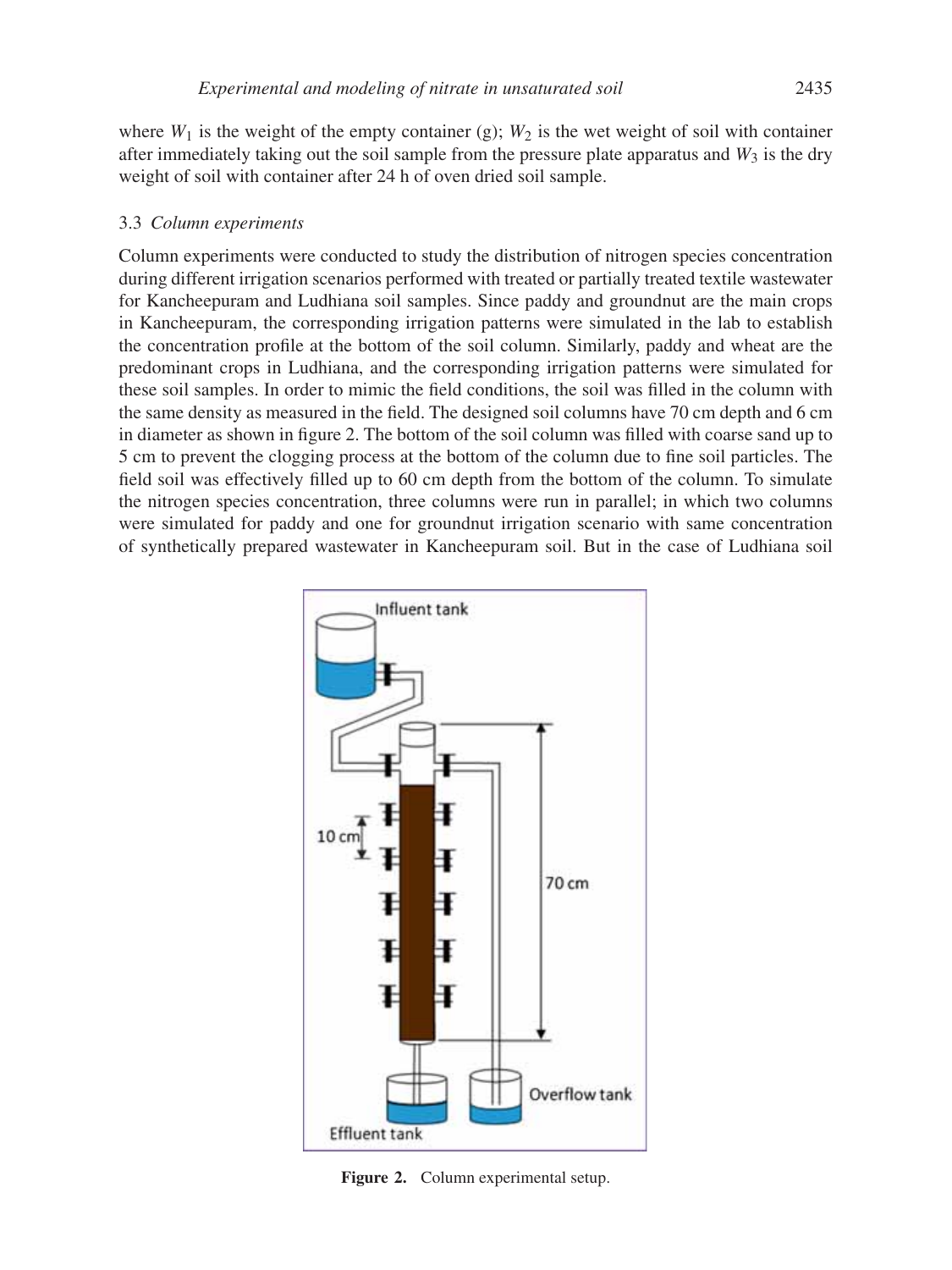where  $W_1$  is the weight of the empty container (g);  $W_2$  is the wet weight of soil with container after immediately taking out the soil sample from the pressure plate apparatus and  $W_3$  is the dry weight of soil with container after 24 h of oven dried soil sample.

#### 3.3 *Column experiments*

Column experiments were conducted to study the distribution of nitrogen species concentration during different irrigation scenarios performed with treated or partially treated textile wastewater for Kancheepuram and Ludhiana soil samples. Since paddy and groundnut are the main crops in Kancheepuram, the corresponding irrigation patterns were simulated in the lab to establish the concentration profile at the bottom of the soil column. Similarly, paddy and wheat are the predominant crops in Ludhiana, and the corresponding irrigation patterns were simulated for these soil samples. In order to mimic the field conditions, the soil was filled in the column with the same density as measured in the field. The designed soil columns have 70 cm depth and 6 cm in diameter as shown in figure 2. The bottom of the soil column was filled with coarse sand up to 5 cm to prevent the clogging process at the bottom of the column due to fine soil particles. The field soil was effectively filled up to 60 cm depth from the bottom of the column. To simulate the nitrogen species concentration, three columns were run in parallel; in which two columns were simulated for paddy and one for groundnut irrigation scenario with same concentration of synthetically prepared wastewater in Kancheepuram soil. But in the case of Ludhiana soil



**Figure 2.** Column experimental setup.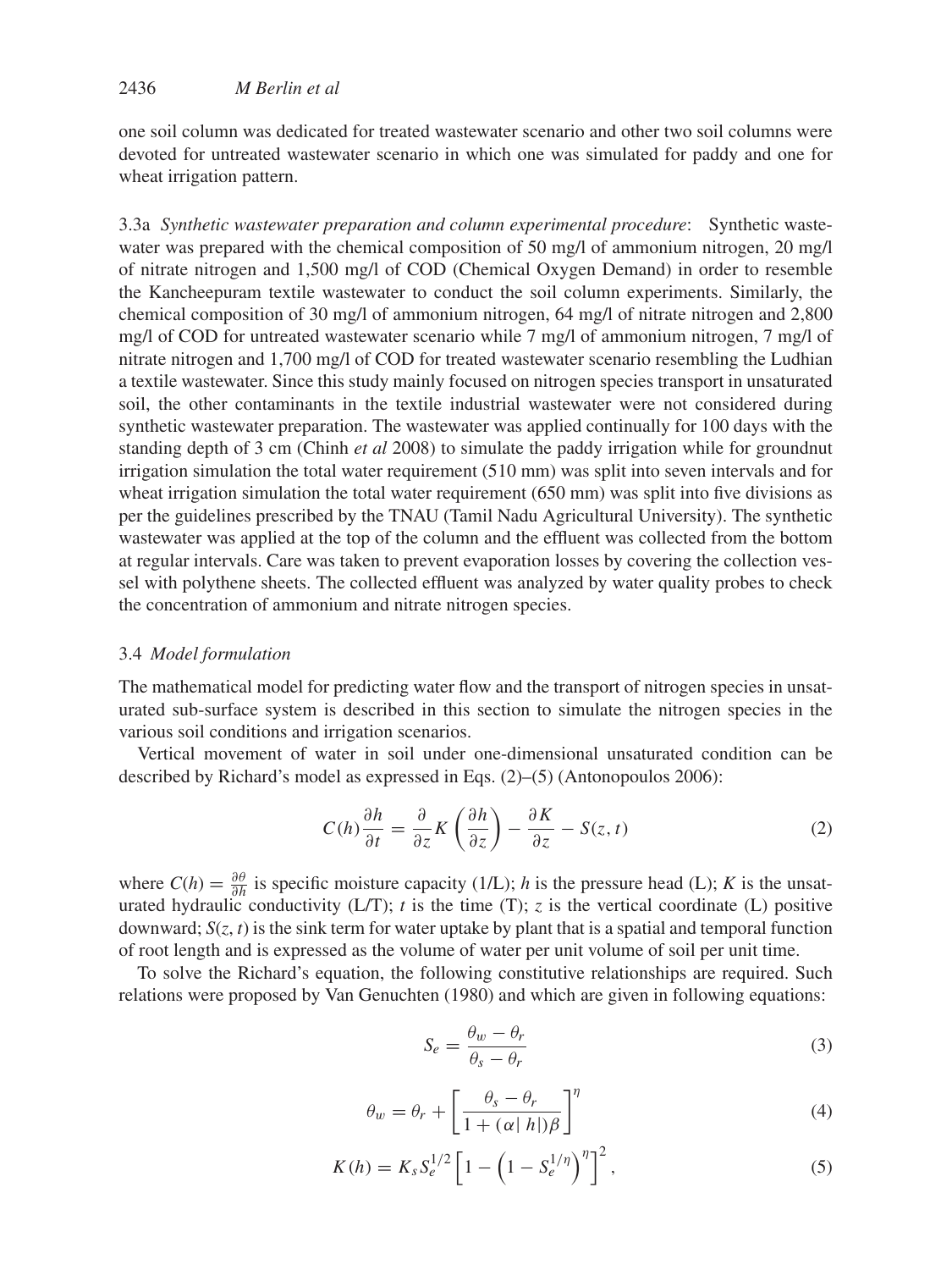one soil column was dedicated for treated wastewater scenario and other two soil columns were devoted for untreated wastewater scenario in which one was simulated for paddy and one for wheat irrigation pattern.

3.3a *Synthetic wastewater preparation and column experimental procedure*: Synthetic wastewater was prepared with the chemical composition of 50 mg/l of ammonium nitrogen, 20 mg/l of nitrate nitrogen and 1,500 mg/l of COD (Chemical Oxygen Demand) in order to resemble the Kancheepuram textile wastewater to conduct the soil column experiments. Similarly, the chemical composition of 30 mg/l of ammonium nitrogen, 64 mg/l of nitrate nitrogen and 2,800 mg/l of COD for untreated wastewater scenario while 7 mg/l of ammonium nitrogen, 7 mg/l of nitrate nitrogen and 1,700 mg/l of COD for treated wastewater scenario resembling the Ludhian a textile wastewater. Since this study mainly focused on nitrogen species transport in unsaturated soil, the other contaminants in the textile industrial wastewater were not considered during synthetic wastewater preparation. The wastewater was applied continually for 100 days with the standing depth of 3 cm (Chinh *et al* 2008) to simulate the paddy irrigation while for groundnut irrigation simulation the total water requirement (510 mm) was split into seven intervals and for wheat irrigation simulation the total water requirement (650 mm) was split into five divisions as per the guidelines prescribed by the TNAU (Tamil Nadu Agricultural University). The synthetic wastewater was applied at the top of the column and the effluent was collected from the bottom at regular intervals. Care was taken to prevent evaporation losses by covering the collection vessel with polythene sheets. The collected effluent was analyzed by water quality probes to check the concentration of ammonium and nitrate nitrogen species.

#### 3.4 *Model formulation*

The mathematical model for predicting water flow and the transport of nitrogen species in unsaturated sub-surface system is described in this section to simulate the nitrogen species in the various soil conditions and irrigation scenarios.

Vertical movement of water in soil under one-dimensional unsaturated condition can be described by Richard's model as expressed in Eqs.  $(2)$ – $(5)$  (Antonopoulos 2006):

$$
C(h)\frac{\partial h}{\partial t} = \frac{\partial}{\partial z}K\left(\frac{\partial h}{\partial z}\right) - \frac{\partial K}{\partial z} - S(z, t)
$$
 (2)

where  $C(h) = \frac{\partial \theta}{\partial h}$  is specific moisture capacity (1/L); *h* is the pressure head (L); *K* is the unsaturated hydraulic conductivity ( $LT$ ); *t* is the time (T); *z* is the vertical coordinate (L) positive downward; *S*(*z*, *t*) is the sink term for water uptake by plant that is a spatial and temporal function of root length and is expressed as the volume of water per unit volume of soil per unit time.

To solve the Richard's equation, the following constitutive relationships are required. Such relations were proposed by Van Genuchten (1980) and which are given in following equations:

$$
S_e = \frac{\theta_w - \theta_r}{\theta_s - \theta_r} \tag{3}
$$

$$
\theta_w = \theta_r + \left[ \frac{\theta_s - \theta_r}{1 + (\alpha |h|) \beta} \right]^\eta \tag{4}
$$

$$
K(h) = K_{s} S_{e}^{1/2} \left[ 1 - \left( 1 - S_{e}^{1/\eta} \right)^{\eta} \right]^{2}, \tag{5}
$$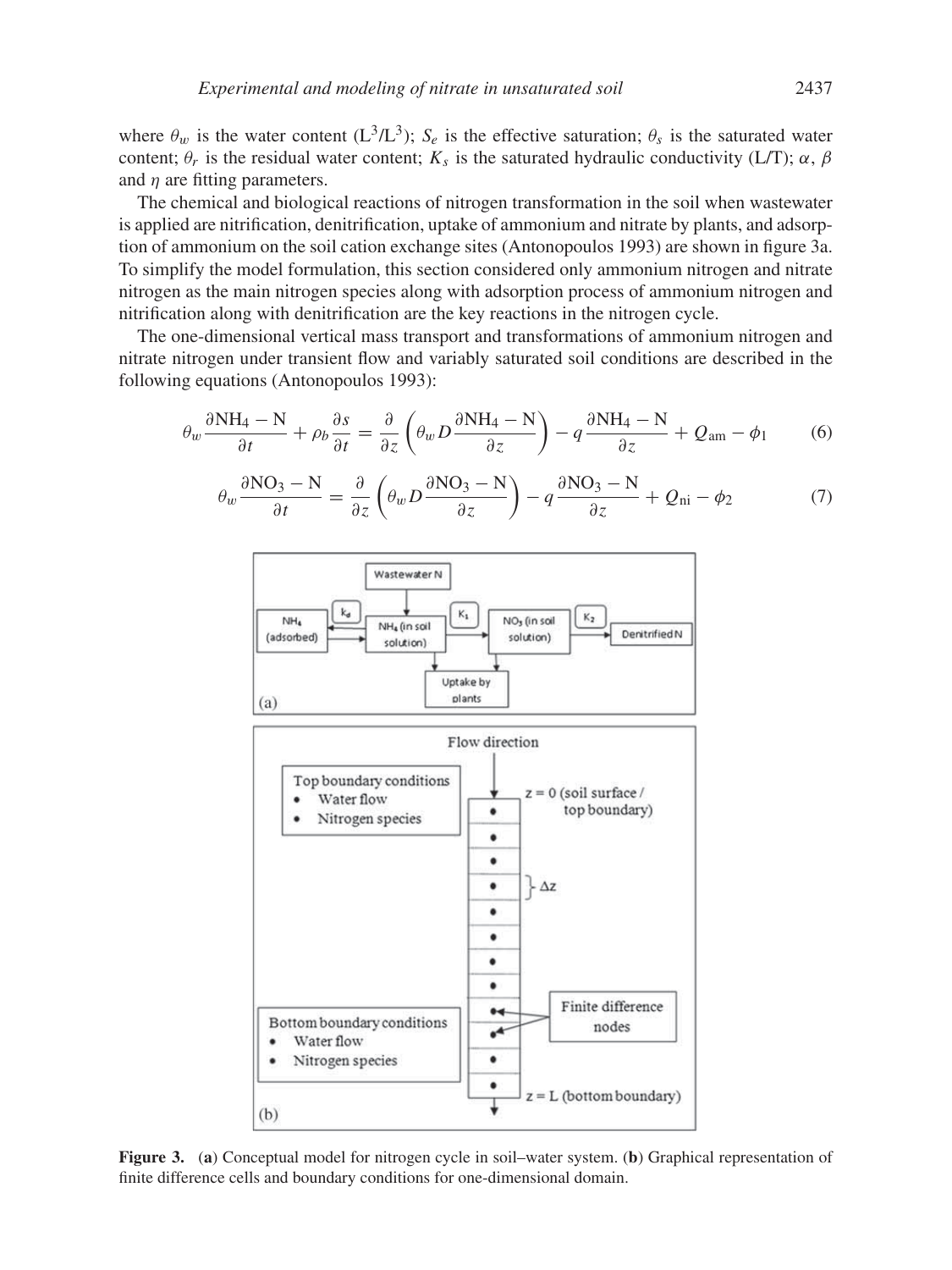where  $\theta_w$  is the water content (L<sup>3</sup>/L<sup>3</sup>); S<sub>e</sub> is the effective saturation;  $\theta_s$  is the saturated water content;  $\theta_r$  is the residual water content;  $K_s$  is the saturated hydraulic conductivity (L/T);  $\alpha$ ,  $\beta$ and  $\eta$  are fitting parameters.

The chemical and biological reactions of nitrogen transformation in the soil when wastewater is applied are nitrification, denitrification, uptake of ammonium and nitrate by plants, and adsorption of ammonium on the soil cation exchange sites (Antonopoulos 1993) are shown in figure 3a. To simplify the model formulation, this section considered only ammonium nitrogen and nitrate nitrogen as the main nitrogen species along with adsorption process of ammonium nitrogen and nitrification along with denitrification are the key reactions in the nitrogen cycle.

The one-dimensional vertical mass transport and transformations of ammonium nitrogen and nitrate nitrogen under transient flow and variably saturated soil conditions are described in the following equations (Antonopoulos 1993):

$$
\theta_w \frac{\partial \text{NH}_4 - \text{N}}{\partial t} + \rho_b \frac{\partial s}{\partial t} = \frac{\partial}{\partial z} \left( \theta_w D \frac{\partial \text{NH}_4 - \text{N}}{\partial z} \right) - q \frac{\partial \text{NH}_4 - \text{N}}{\partial z} + Q_{\text{am}} - \phi_1 \tag{6}
$$

$$
\theta_w \frac{\partial \text{NO}_3 - \text{N}}{\partial t} = \frac{\partial}{\partial z} \left( \theta_w D \frac{\partial \text{NO}_3 - \text{N}}{\partial z} \right) - q \frac{\partial \text{NO}_3 - \text{N}}{\partial z} + Q_{\text{ni}} - \phi_2 \tag{7}
$$



**Figure 3.** (**a**) Conceptual model for nitrogen cycle in soil–water system. (**b**) Graphical representation of finite difference cells and boundary conditions for one-dimensional domain.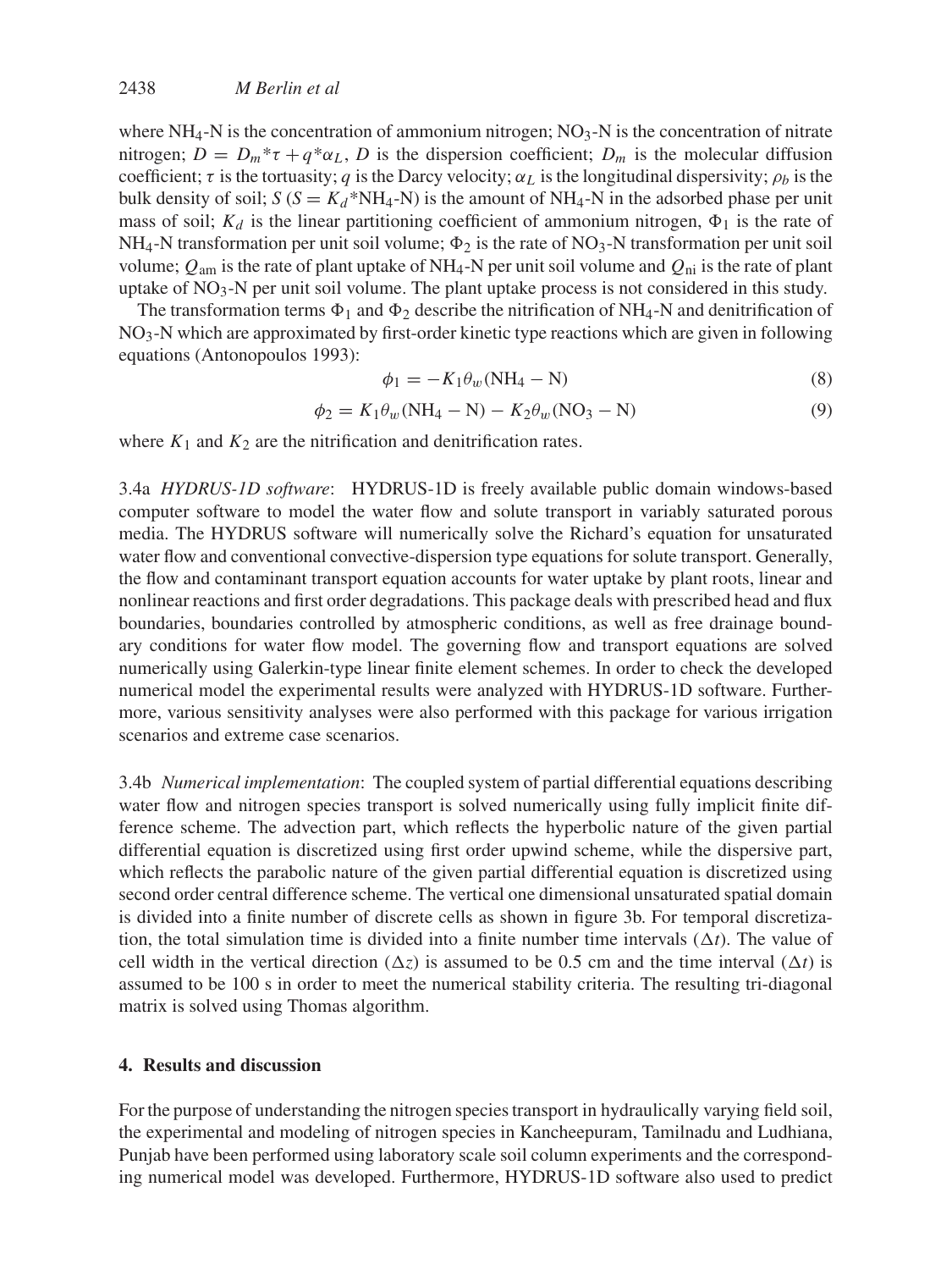## 2438 *M Berlin et al*

where  $NH_4$ -N is the concentration of ammonium nitrogen;  $NO_3$ -N is the concentration of nitrate nitrogen;  $D = D_m^* \tau + q^* \alpha_L$ , *D* is the dispersion coefficient;  $D_m$  is the molecular diffusion coefficient;  $\tau$  is the tortuasity; q is the Darcy velocity;  $\alpha_L$  is the longitudinal dispersivity;  $\rho_b$  is the bulk density of soil;  $S (S = K_d * NH_4-N)$  is the amount of NH<sub>4</sub>-N in the adsorbed phase per unit mass of soil;  $K_d$  is the linear partitioning coefficient of ammonium nitrogen,  $\Phi_1$  is the rate of  $NH_4$ -N transformation per unit soil volume;  $\Phi_2$  is the rate of NO<sub>3</sub>-N transformation per unit soil volume;  $Q_{am}$  is the rate of plant uptake of NH<sub>4</sub>-N per unit soil volume and  $Q_{ni}$  is the rate of plant uptake of  $NO<sub>3</sub>-N$  per unit soil volume. The plant uptake process is not considered in this study.

The transformation terms  $\Phi_1$  and  $\Phi_2$  describe the nitrification of NH<sub>4</sub>-N and denitrification of  $NO<sub>3</sub>-N$  which are approximated by first-order kinetic type reactions which are given in following equations (Antonopoulos 1993):

$$
\phi_1 = -K_1 \theta_w (\text{NH}_4 - \text{N}) \tag{8}
$$

$$
\phi_2 = K_1 \theta_w (\text{NH}_4 - \text{N}) - K_2 \theta_w (\text{NO}_3 - \text{N})
$$
\n(9)

where  $K_1$  and  $K_2$  are the nitrification and denitrification rates.

3.4a *HYDRUS-1D software*: HYDRUS-1D is freely available public domain windows-based computer software to model the water flow and solute transport in variably saturated porous media. The HYDRUS software will numerically solve the Richard's equation for unsaturated water flow and conventional convective-dispersion type equations for solute transport. Generally, the flow and contaminant transport equation accounts for water uptake by plant roots, linear and nonlinear reactions and first order degradations. This package deals with prescribed head and flux boundaries, boundaries controlled by atmospheric conditions, as well as free drainage boundary conditions for water flow model. The governing flow and transport equations are solved numerically using Galerkin-type linear finite element schemes. In order to check the developed numerical model the experimental results were analyzed with HYDRUS-1D software. Furthermore, various sensitivity analyses were also performed with this package for various irrigation scenarios and extreme case scenarios.

3.4b *Numerical implementation*: The coupled system of partial differential equations describing water flow and nitrogen species transport is solved numerically using fully implicit finite difference scheme. The advection part, which reflects the hyperbolic nature of the given partial differential equation is discretized using first order upwind scheme, while the dispersive part, which reflects the parabolic nature of the given partial differential equation is discretized using second order central difference scheme. The vertical one dimensional unsaturated spatial domain is divided into a finite number of discrete cells as shown in figure 3b. For temporal discretization, the total simulation time is divided into a finite number time intervals  $(\Delta t)$ . The value of cell width in the vertical direction ( $\Delta z$ ) is assumed to be 0.5 cm and the time interval ( $\Delta t$ ) is assumed to be 100 s in order to meet the numerical stability criteria. The resulting tri-diagonal matrix is solved using Thomas algorithm.

# **4. Results and discussion**

For the purpose of understanding the nitrogen species transport in hydraulically varying field soil, the experimental and modeling of nitrogen species in Kancheepuram, Tamilnadu and Ludhiana, Punjab have been performed using laboratory scale soil column experiments and the corresponding numerical model was developed. Furthermore, HYDRUS-1D software also used to predict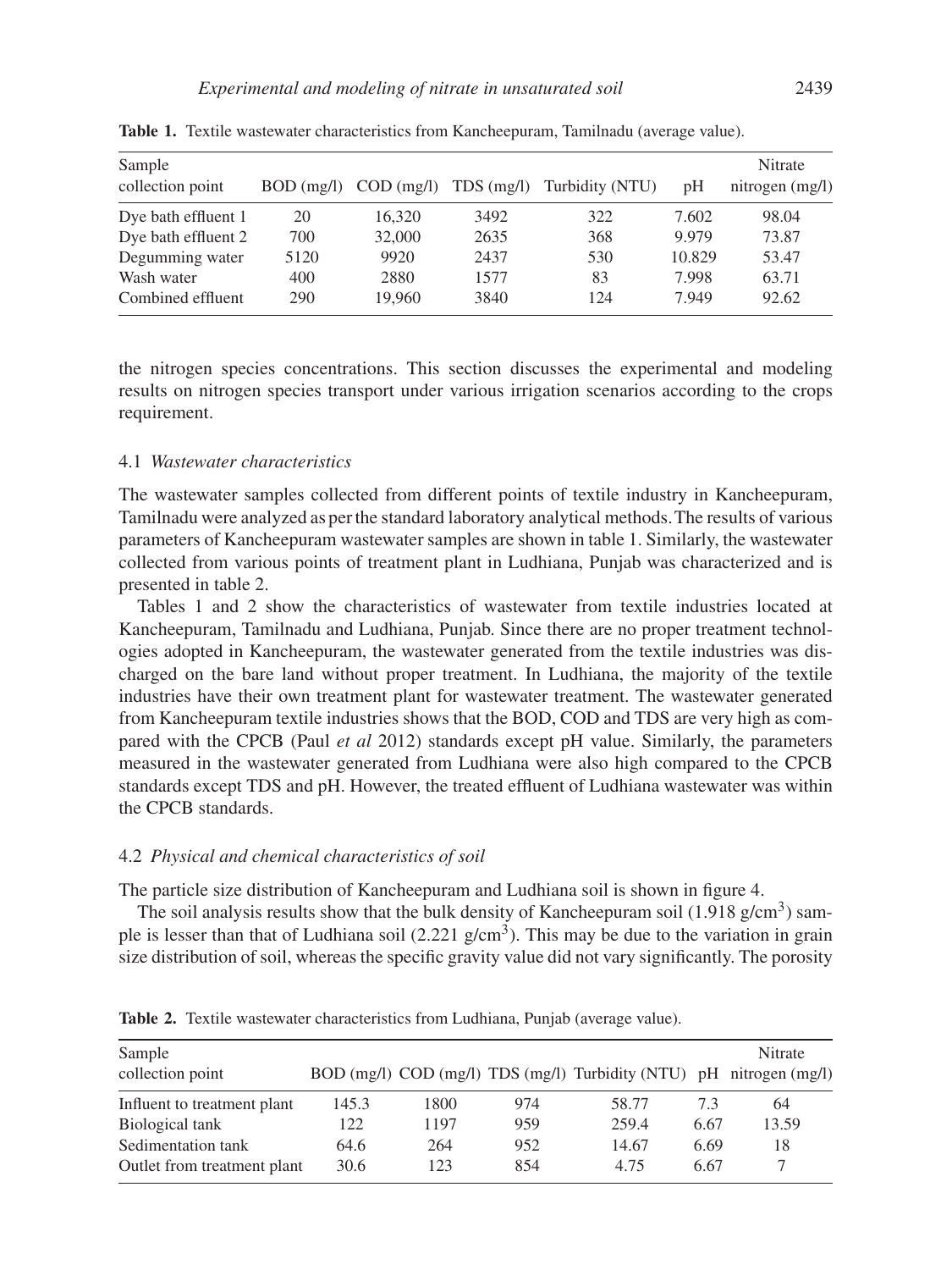| Sample<br>collection point | $BOD$ (mg/l) | $COD$ (mg/l) |      | TDS (mg/l) Turbidity (NTU) | pH     | <b>Nitrate</b><br>nitrogen $(mg/l)$ |
|----------------------------|--------------|--------------|------|----------------------------|--------|-------------------------------------|
| Dye bath effluent 1        | 20           | 16.320       | 3492 | 322                        | 7.602  | 98.04                               |
| Dye bath effluent 2        | 700          | 32,000       | 2635 | 368                        | 9.979  | 73.87                               |
| Degumming water            | 5120         | 9920         | 2437 | 530                        | 10.829 | 53.47                               |
| Wash water                 | 400          | 2880         | 1577 | 83                         | 7.998  | 63.71                               |
| Combined effluent          | 290          | 19.960       | 3840 | 124                        | 7.949  | 92.62                               |

**Table 1.** Textile wastewater characteristics from Kancheepuram, Tamilnadu (average value).

the nitrogen species concentrations. This section discusses the experimental and modeling results on nitrogen species transport under various irrigation scenarios according to the crops requirement.

#### 4.1 *Wastewater characteristics*

The wastewater samples collected from different points of textile industry in Kancheepuram, Tamilnadu were analyzed as per the standard laboratory analytical methods.The results of various parameters of Kancheepuram wastewater samples are shown in table 1. Similarly, the wastewater collected from various points of treatment plant in Ludhiana, Punjab was characterized and is presented in table 2.

Tables 1 and 2 show the characteristics of wastewater from textile industries located at Kancheepuram, Tamilnadu and Ludhiana, Punjab. Since there are no proper treatment technologies adopted in Kancheepuram, the wastewater generated from the textile industries was discharged on the bare land without proper treatment. In Ludhiana, the majority of the textile industries have their own treatment plant for wastewater treatment. The wastewater generated from Kancheepuram textile industries shows that the BOD, COD and TDS are very high as compared with the CPCB (Paul *et al* 2012) standards except pH value. Similarly, the parameters measured in the wastewater generated from Ludhiana were also high compared to the CPCB standards except TDS and pH. However, the treated effluent of Ludhiana wastewater was within the CPCB standards.

## 4.2 *Physical and chemical characteristics of soil*

The particle size distribution of Kancheepuram and Ludhiana soil is shown in figure 4.

The soil analysis results show that the bulk density of Kancheepuram soil (1.918  $g/cm<sup>3</sup>$ ) sample is lesser than that of Ludhiana soil  $(2.221 \text{ g/cm}^3)$ . This may be due to the variation in grain size distribution of soil, whereas the specific gravity value did not vary significantly. The porosity

| Sample<br>collection point  |       |      |     | $BOD$ (mg/l) $COD$ (mg/l) $TDS$ (mg/l) Turbidity (NTU) pH nitrogen (mg/l) |      | <b>Nitrate</b> |
|-----------------------------|-------|------|-----|---------------------------------------------------------------------------|------|----------------|
| Influent to treatment plant | 145.3 | 1800 | 974 | 58.77                                                                     | 7.3  | 64             |
| Biological tank             | 122   | 1197 | 959 | 259.4                                                                     | 6.67 | 13.59          |
| Sedimentation tank          | 64.6  | 264  | 952 | 14.67                                                                     | 6.69 | 18             |
| Outlet from treatment plant | 30.6  | 123  | 854 | 4.75                                                                      | 6.67 |                |

**Table 2.** Textile wastewater characteristics from Ludhiana, Punjab (average value).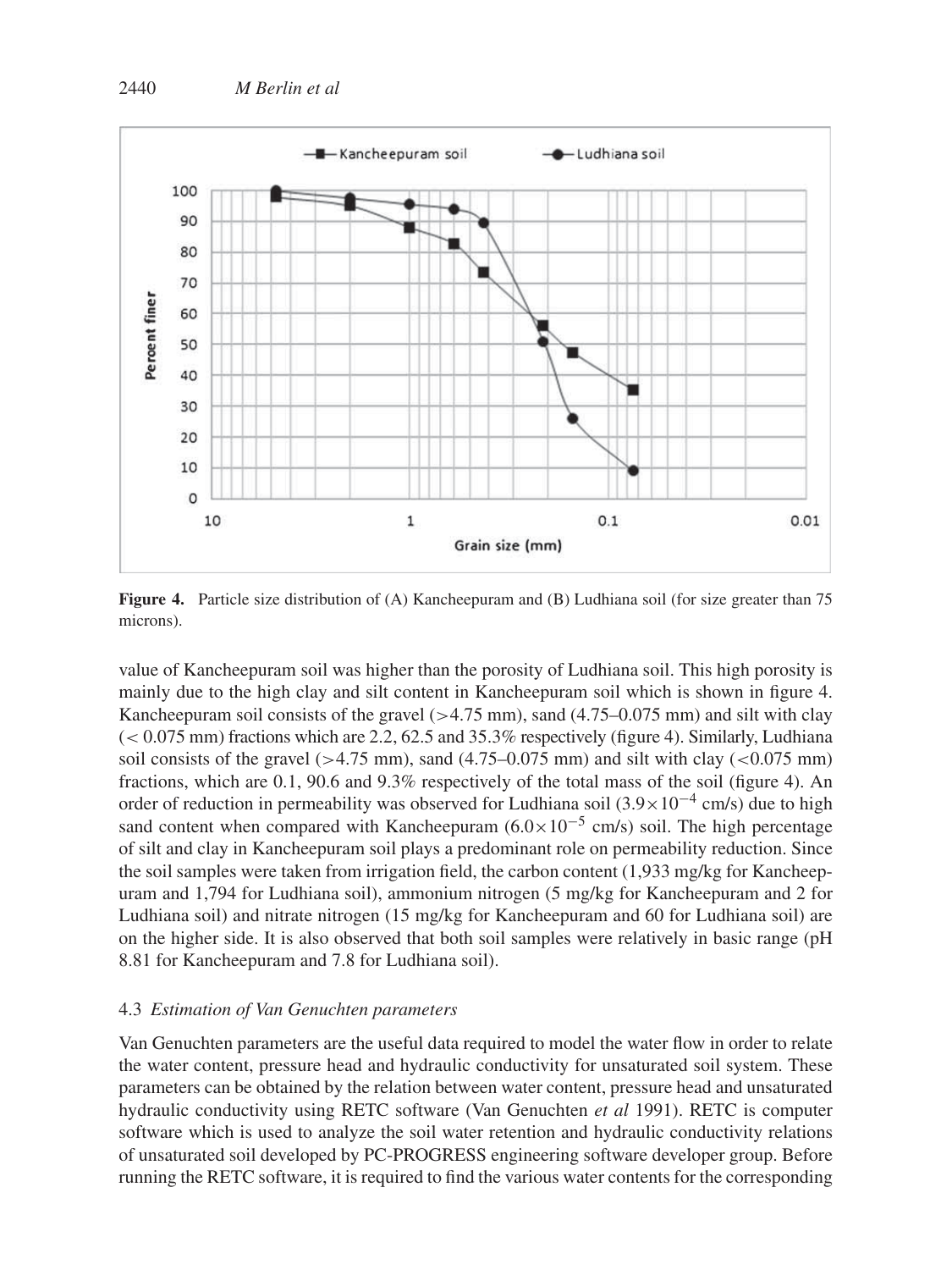

**Figure 4.** Particle size distribution of (A) Kancheepuram and (B) Ludhiana soil (for size greater than 75 microns).

value of Kancheepuram soil was higher than the porosity of Ludhiana soil. This high porosity is mainly due to the high clay and silt content in Kancheepuram soil which is shown in figure 4. Kancheepuram soil consists of the gravel  $(>4.75 \text{ mm})$ , sand  $(4.75-0.075 \text{ mm})$  and silt with clay  $(< 0.075$  mm) fractions which are 2.2, 62.5 and 35.3% respectively (figure 4). Similarly, Ludhiana soil consists of the gravel ( $>4.75$  mm), sand (4.75–0.075 mm) and silt with clay ( $< 0.075$  mm) fractions, which are 0.1, 90.6 and 9.3% respectively of the total mass of the soil (figure 4). An order of reduction in permeability was observed for Ludhiana soil (3.9×10−<sup>4</sup> cm/s) due to high sand content when compared with Kancheepuram  $(6.0 \times 10^{-5} \text{ cm/s})$  soil. The high percentage of silt and clay in Kancheepuram soil plays a predominant role on permeability reduction. Since the soil samples were taken from irrigation field, the carbon content (1,933 mg/kg for Kancheepuram and 1,794 for Ludhiana soil), ammonium nitrogen (5 mg/kg for Kancheepuram and 2 for Ludhiana soil) and nitrate nitrogen (15 mg/kg for Kancheepuram and 60 for Ludhiana soil) are on the higher side. It is also observed that both soil samples were relatively in basic range (pH 8.81 for Kancheepuram and 7.8 for Ludhiana soil).

# 4.3 *Estimation of Van Genuchten parameters*

Van Genuchten parameters are the useful data required to model the water flow in order to relate the water content, pressure head and hydraulic conductivity for unsaturated soil system. These parameters can be obtained by the relation between water content, pressure head and unsaturated hydraulic conductivity using RETC software (Van Genuchten *et al* 1991). RETC is computer software which is used to analyze the soil water retention and hydraulic conductivity relations of unsaturated soil developed by PC-PROGRESS engineering software developer group. Before running the RETC software, it is required to find the various water contents for the corresponding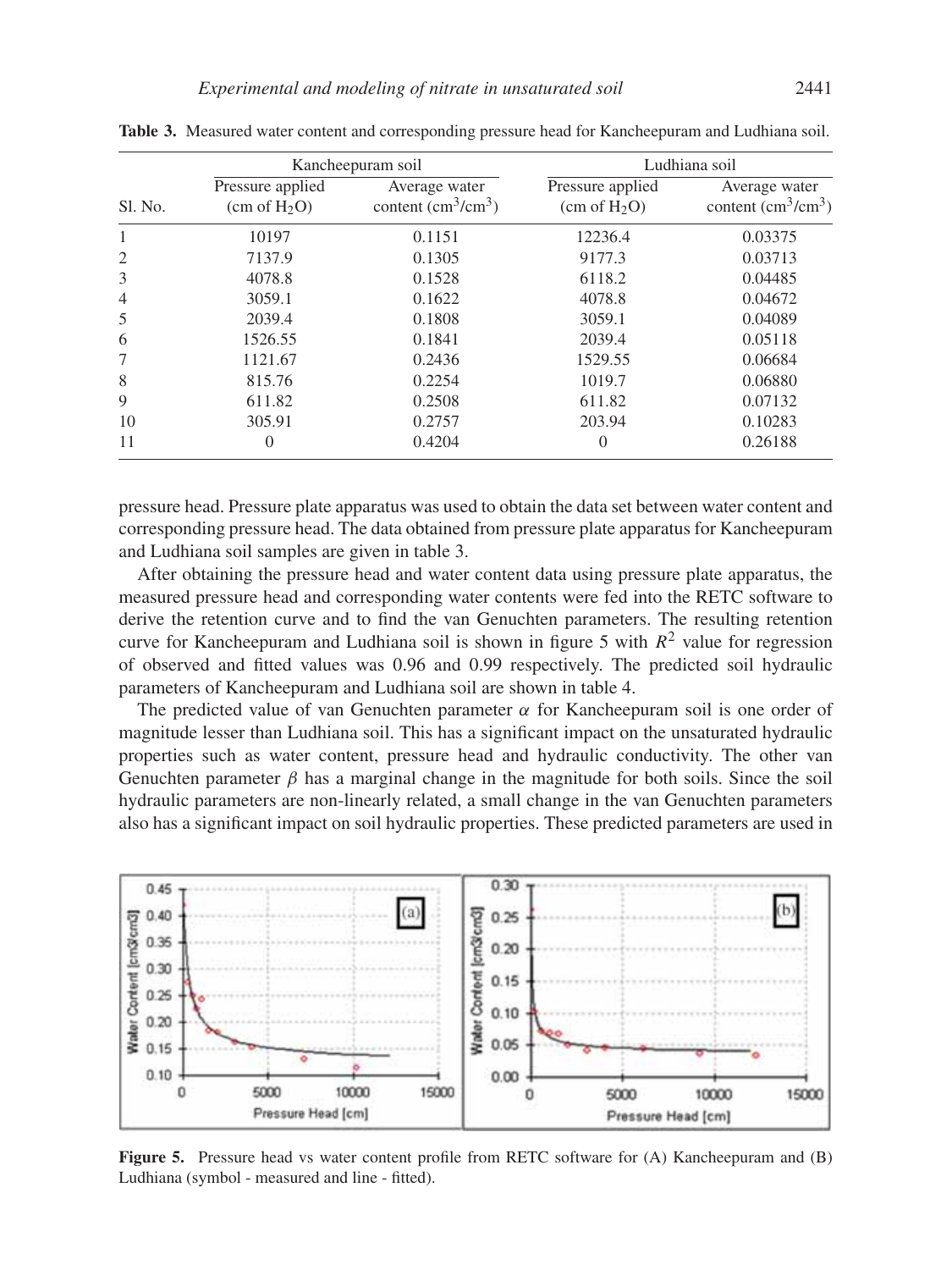|                |                                              | Kancheepuram soil                                    | Ludhiana soil                                |                                                      |  |  |
|----------------|----------------------------------------------|------------------------------------------------------|----------------------------------------------|------------------------------------------------------|--|--|
| S1. No.        | Pressure applied<br>(cm of H <sub>2</sub> O) | Average water<br>content $\text{cm}^3/\text{cm}^3$ ) | Pressure applied<br>(cm of H <sub>2</sub> O) | Average water<br>content $\text{cm}^3/\text{cm}^3$ ) |  |  |
| 1              | 10197                                        | 0.1151                                               | 12236.4                                      | 0.03375                                              |  |  |
| $\overline{2}$ | 7137.9                                       | 0.1305                                               | 9177.3                                       | 0.03713                                              |  |  |
| 3              | 4078.8                                       | 0.1528                                               | 6118.2                                       | 0.04485                                              |  |  |
| $\overline{4}$ | 3059.1                                       | 0.1622                                               | 4078.8                                       | 0.04672                                              |  |  |
| 5              | 2039.4                                       | 0.1808                                               | 3059.1                                       | 0.04089                                              |  |  |
| 6              | 1526.55                                      | 0.1841                                               | 2039.4                                       | 0.05118                                              |  |  |
| 7              | 1121.67                                      | 0.2436                                               | 1529.55                                      | 0.06684                                              |  |  |
| 8              | 815.76                                       | 0.2254                                               | 1019.7                                       | 0.06880                                              |  |  |
| 9              | 611.82                                       | 0.2508                                               | 611.82                                       | 0.07132                                              |  |  |
| 10             | 305.91                                       | 0.2757                                               | 203.94                                       | 0.10283                                              |  |  |
| 11             | 0                                            | 0.4204                                               | $\Omega$                                     | 0.26188                                              |  |  |

**Table 3.** Measured water content and corresponding pressure head for Kancheepuram and Ludhiana soil.

pressure head. Pressure plate apparatus was used to obtain the data set between water content and corresponding pressure head. The data obtained from pressure plate apparatus for Kancheepuram and Ludhiana soil samples are given in table 3.

After obtaining the pressure head and water content data using pressure plate apparatus, the measured pressure head and corresponding water contents were fed into the RETC software to derive the retention curve and to find the van Genuchten parameters. The resulting retention curve for Kancheepuram and Ludhiana soil is shown in figure 5 with  $R^2$  value for regression of observed and fitted values was 0.96 and 0.99 respectively. The predicted soil hydraulic parameters of Kancheepuram and Ludhiana soil are shown in table 4.

The predicted value of van Genuchten parameter  $\alpha$  for Kancheepuram soil is one order of magnitude lesser than Ludhiana soil. This has a significant impact on the unsaturated hydraulic properties such as water content, pressure head and hydraulic conductivity. The other van Genuchten parameter  $\beta$  has a marginal change in the magnitude for both soils. Since the soil hydraulic parameters are non-linearly related, a small change in the van Genuchten parameters also has a significant impact on soil hydraulic properties. These predicted parameters are used in



Figure 5. Pressure head vs water content profile from RETC software for (A) Kancheepuram and (B) Ludhiana (symbol - measured and line - fitted).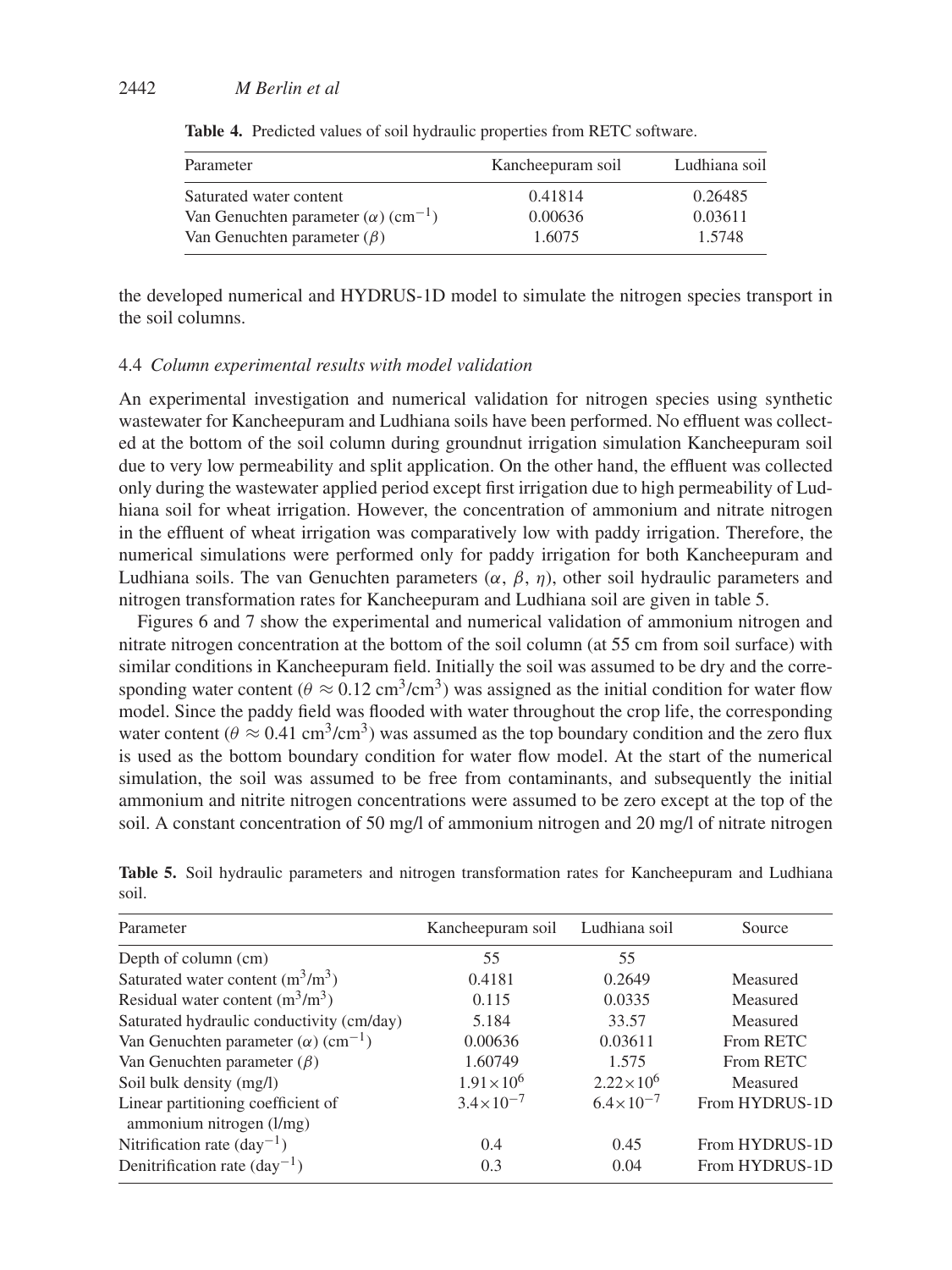| Parameter                                                | Kancheepuram soil | Ludhiana soil |
|----------------------------------------------------------|-------------------|---------------|
| Saturated water content                                  | 0.41814           | 0.26485       |
| Van Genuchten parameter ( $\alpha$ ) (cm <sup>-1</sup> ) | 0.00636           | 0.03611       |
| Van Genuchten parameter $(\beta)$                        | 1.6075            | 1.5748        |

**Table 4.** Predicted values of soil hydraulic properties from RETC software.

the developed numerical and HYDRUS-1D model to simulate the nitrogen species transport in the soil columns.

#### 4.4 *Column experimental results with model validation*

An experimental investigation and numerical validation for nitrogen species using synthetic wastewater for Kancheepuram and Ludhiana soils have been performed. No effluent was collected at the bottom of the soil column during groundnut irrigation simulation Kancheepuram soil due to very low permeability and split application. On the other hand, the effluent was collected only during the wastewater applied period except first irrigation due to high permeability of Ludhiana soil for wheat irrigation. However, the concentration of ammonium and nitrate nitrogen in the effluent of wheat irrigation was comparatively low with paddy irrigation. Therefore, the numerical simulations were performed only for paddy irrigation for both Kancheepuram and Ludhiana soils. The van Genuchten parameters  $(\alpha, \beta, \eta)$ , other soil hydraulic parameters and nitrogen transformation rates for Kancheepuram and Ludhiana soil are given in table 5.

Figures 6 and 7 show the experimental and numerical validation of ammonium nitrogen and nitrate nitrogen concentration at the bottom of the soil column (at 55 cm from soil surface) with similar conditions in Kancheepuram field. Initially the soil was assumed to be dry and the corresponding water content ( $\theta \approx 0.12 \text{ cm}^3/\text{cm}^3$ ) was assigned as the initial condition for water flow model. Since the paddy field was flooded with water throughout the crop life, the corresponding water content ( $\theta \approx 0.41 \text{ cm}^3/\text{cm}^3$ ) was assumed as the top boundary condition and the zero flux is used as the bottom boundary condition for water flow model. At the start of the numerical simulation, the soil was assumed to be free from contaminants, and subsequently the initial ammonium and nitrite nitrogen concentrations were assumed to be zero except at the top of the soil. A constant concentration of 50 mg/l of ammonium nitrogen and 20 mg/l of nitrate nitrogen

| Parameter                                                      | Kancheepuram soil    | Ludhiana soil        | Source         |
|----------------------------------------------------------------|----------------------|----------------------|----------------|
| Depth of column (cm)                                           | 55                   | 55                   |                |
| Saturated water content $(m^3/m^3)$                            | 0.4181               | 0.2649               | Measured       |
| Residual water content $(m^3/m^3)$                             | 0.115                | 0.0335               | Measured       |
| Saturated hydraulic conductivity (cm/day)                      | 5.184                | 33.57                | Measured       |
| Van Genuchten parameter $(\alpha)$ (cm <sup>-1</sup> )         | 0.00636              | 0.03611              | From RETC      |
| Van Genuchten parameter $(\beta)$                              | 1.60749              | 1.575                | From RETC      |
| Soil bulk density (mg/l)                                       | $1.91 \times 10^{6}$ | $2.22 \times 10^6$   | Measured       |
| Linear partitioning coefficient of<br>ammonium nitrogen (l/mg) | $3.4 \times 10^{-7}$ | $6.4 \times 10^{-7}$ | From HYDRUS-1D |
| Nitrification rate $(\text{day}^{-1})$                         | 0.4                  | 0.45                 | From HYDRUS-1D |
| Denitrification rate $(\text{day}^{-1})$                       | 0.3                  | 0.04                 | From HYDRUS-1D |

**Table 5.** Soil hydraulic parameters and nitrogen transformation rates for Kancheepuram and Ludhiana soil.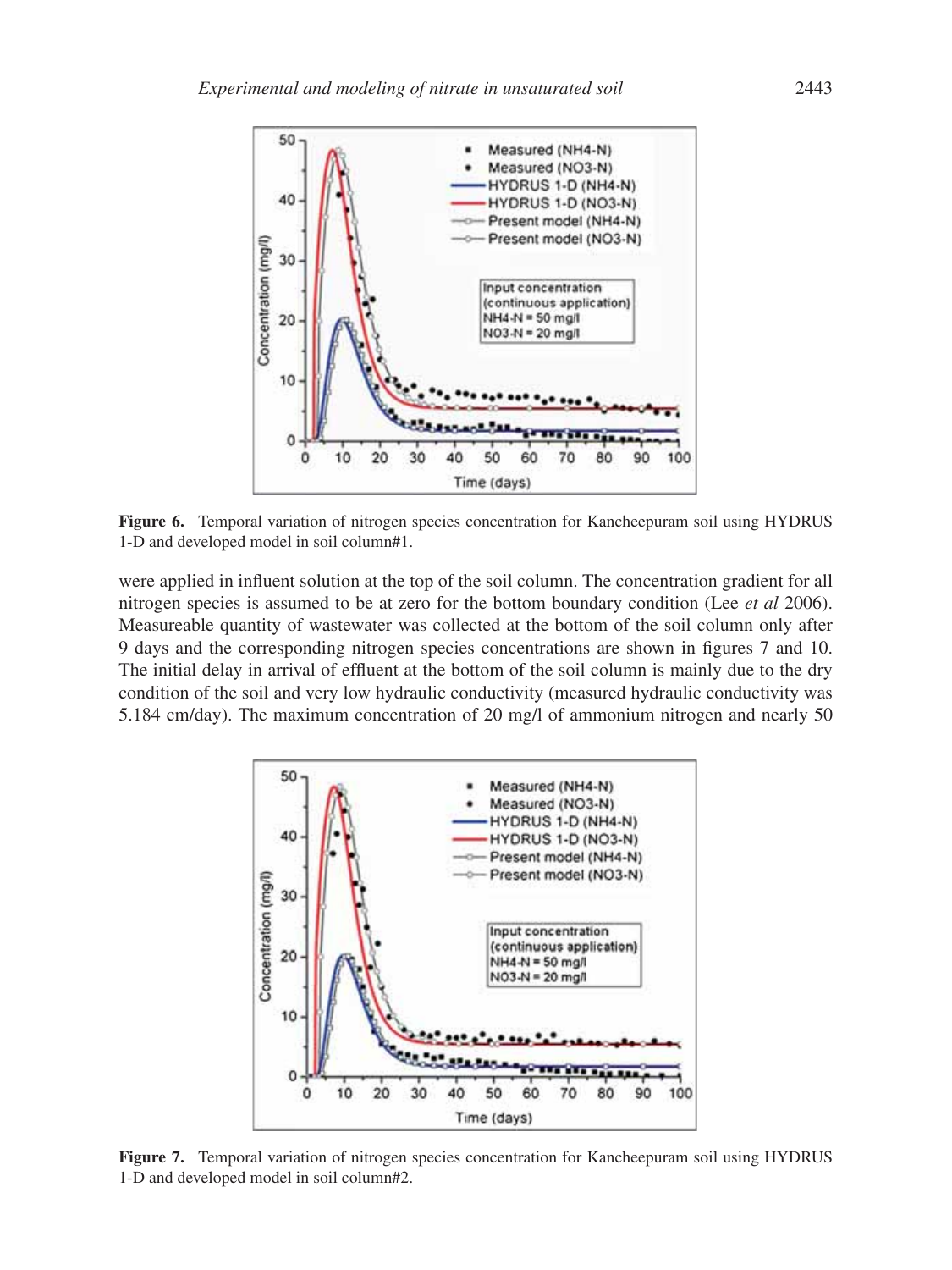

**Figure 6.** Temporal variation of nitrogen species concentration for Kancheepuram soil using HYDRUS 1-D and developed model in soil column#1.

were applied in influent solution at the top of the soil column. The concentration gradient for all nitrogen species is assumed to be at zero for the bottom boundary condition (Lee *et al* 2006). Measureable quantity of wastewater was collected at the bottom of the soil column only after 9 days and the corresponding nitrogen species concentrations are shown in figures 7 and 10. The initial delay in arrival of effluent at the bottom of the soil column is mainly due to the dry condition of the soil and very low hydraulic conductivity (measured hydraulic conductivity was 5.184 cm/day). The maximum concentration of 20 mg/l of ammonium nitrogen and nearly 50



**Figure 7.** Temporal variation of nitrogen species concentration for Kancheepuram soil using HYDRUS 1-D and developed model in soil column#2.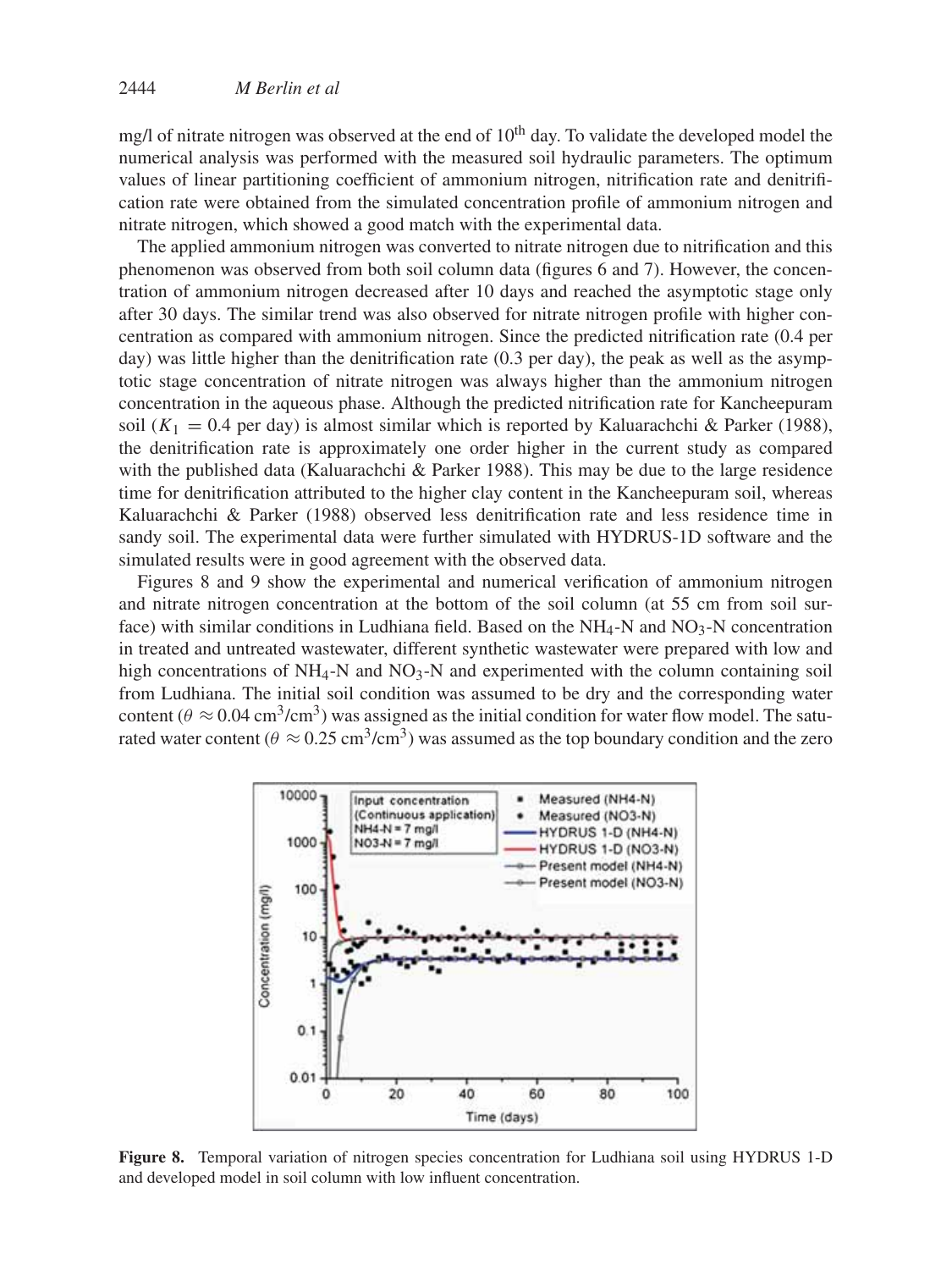mg/l of nitrate nitrogen was observed at the end of  $10<sup>th</sup>$  day. To validate the developed model the numerical analysis was performed with the measured soil hydraulic parameters. The optimum values of linear partitioning coefficient of ammonium nitrogen, nitrification rate and denitrification rate were obtained from the simulated concentration profile of ammonium nitrogen and nitrate nitrogen, which showed a good match with the experimental data.

The applied ammonium nitrogen was converted to nitrate nitrogen due to nitrification and this phenomenon was observed from both soil column data (figures 6 and 7). However, the concentration of ammonium nitrogen decreased after 10 days and reached the asymptotic stage only after 30 days. The similar trend was also observed for nitrate nitrogen profile with higher concentration as compared with ammonium nitrogen. Since the predicted nitrification rate (0.4 per day) was little higher than the denitrification rate (0.3 per day), the peak as well as the asymptotic stage concentration of nitrate nitrogen was always higher than the ammonium nitrogen concentration in the aqueous phase. Although the predicted nitrification rate for Kancheepuram soil ( $K_1 = 0.4$  per day) is almost similar which is reported by Kaluarachchi & Parker (1988), the denitrification rate is approximately one order higher in the current study as compared with the published data (Kaluarachchi & Parker 1988). This may be due to the large residence time for denitrification attributed to the higher clay content in the Kancheepuram soil, whereas Kaluarachchi & Parker (1988) observed less denitrification rate and less residence time in sandy soil. The experimental data were further simulated with HYDRUS-1D software and the simulated results were in good agreement with the observed data.

Figures 8 and 9 show the experimental and numerical verification of ammonium nitrogen and nitrate nitrogen concentration at the bottom of the soil column (at 55 cm from soil surface) with similar conditions in Ludhiana field. Based on the  $NH_4$ -N and  $NO_3$ -N concentration in treated and untreated wastewater, different synthetic wastewater were prepared with low and high concentrations of  $NH_4$ -N and  $NO_3$ -N and experimented with the column containing soil from Ludhiana. The initial soil condition was assumed to be dry and the corresponding water content ( $\theta \approx 0.04 \text{ cm}^3/\text{cm}^3$ ) was assigned as the initial condition for water flow model. The saturated water content ( $\theta \approx 0.25 \text{ cm}^3/\text{cm}^3$ ) was assumed as the top boundary condition and the zero



**Figure 8.** Temporal variation of nitrogen species concentration for Ludhiana soil using HYDRUS 1-D and developed model in soil column with low influent concentration.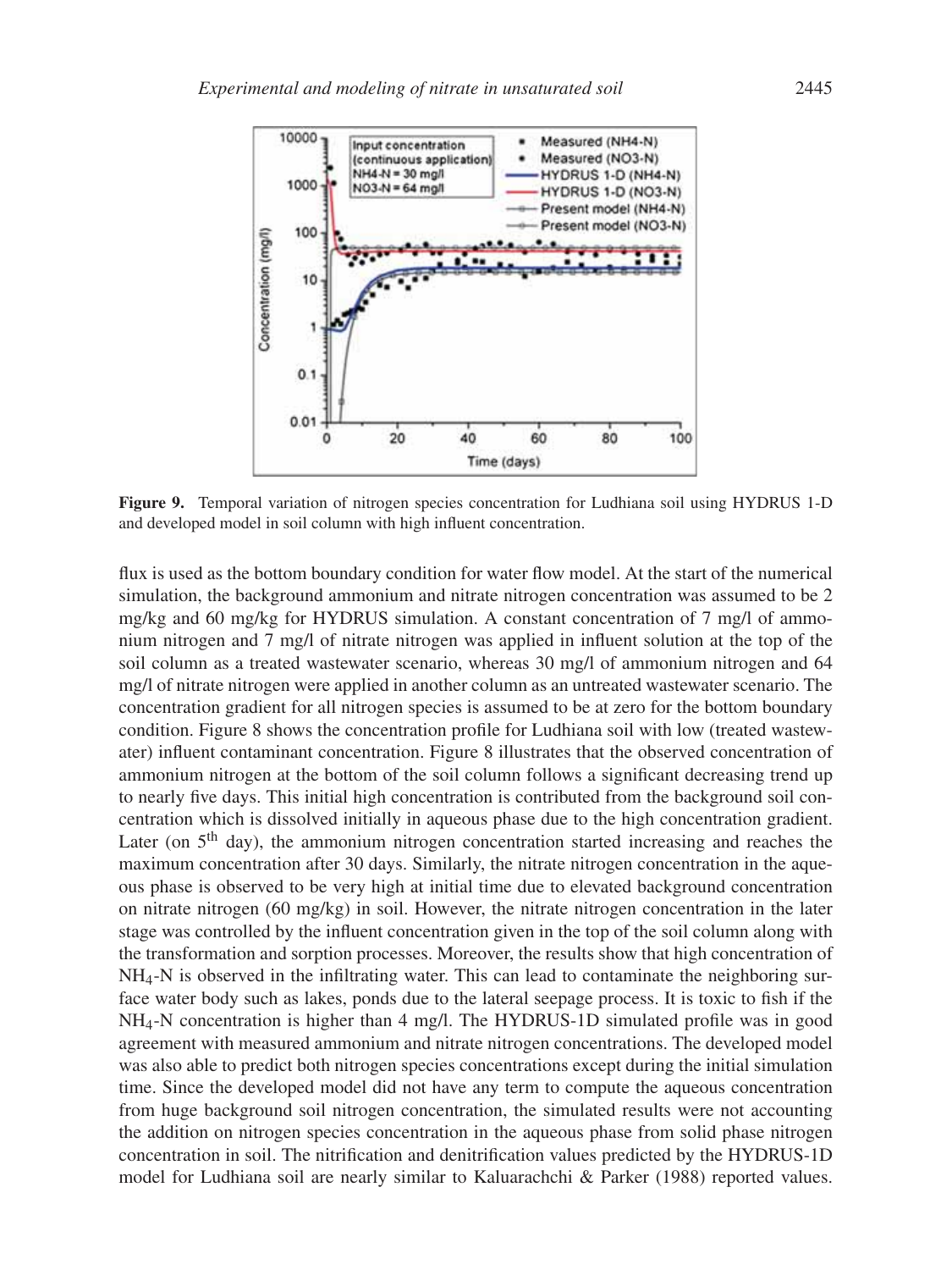

**Figure 9.** Temporal variation of nitrogen species concentration for Ludhiana soil using HYDRUS 1-D and developed model in soil column with high influent concentration.

flux is used as the bottom boundary condition for water flow model. At the start of the numerical simulation, the background ammonium and nitrate nitrogen concentration was assumed to be 2 mg/kg and 60 mg/kg for HYDRUS simulation. A constant concentration of 7 mg/l of ammonium nitrogen and 7 mg/l of nitrate nitrogen was applied in influent solution at the top of the soil column as a treated wastewater scenario, whereas 30 mg/l of ammonium nitrogen and 64 mg/l of nitrate nitrogen were applied in another column as an untreated wastewater scenario. The concentration gradient for all nitrogen species is assumed to be at zero for the bottom boundary condition. Figure 8 shows the concentration profile for Ludhiana soil with low (treated wastewater) influent contaminant concentration. Figure 8 illustrates that the observed concentration of ammonium nitrogen at the bottom of the soil column follows a significant decreasing trend up to nearly five days. This initial high concentration is contributed from the background soil concentration which is dissolved initially in aqueous phase due to the high concentration gradient. Later (on  $5<sup>th</sup>$  day), the ammonium nitrogen concentration started increasing and reaches the maximum concentration after 30 days. Similarly, the nitrate nitrogen concentration in the aqueous phase is observed to be very high at initial time due to elevated background concentration on nitrate nitrogen (60 mg/kg) in soil. However, the nitrate nitrogen concentration in the later stage was controlled by the influent concentration given in the top of the soil column along with the transformation and sorption processes. Moreover, the results show that high concentration of  $NH_4$ -N is observed in the infiltrating water. This can lead to contaminate the neighboring surface water body such as lakes, ponds due to the lateral seepage process. It is toxic to fish if the NH<sub>4</sub>-N concentration is higher than 4 mg/l. The HYDRUS-1D simulated profile was in good agreement with measured ammonium and nitrate nitrogen concentrations. The developed model was also able to predict both nitrogen species concentrations except during the initial simulation time. Since the developed model did not have any term to compute the aqueous concentration from huge background soil nitrogen concentration, the simulated results were not accounting the addition on nitrogen species concentration in the aqueous phase from solid phase nitrogen concentration in soil. The nitrification and denitrification values predicted by the HYDRUS-1D model for Ludhiana soil are nearly similar to Kaluarachchi & Parker (1988) reported values.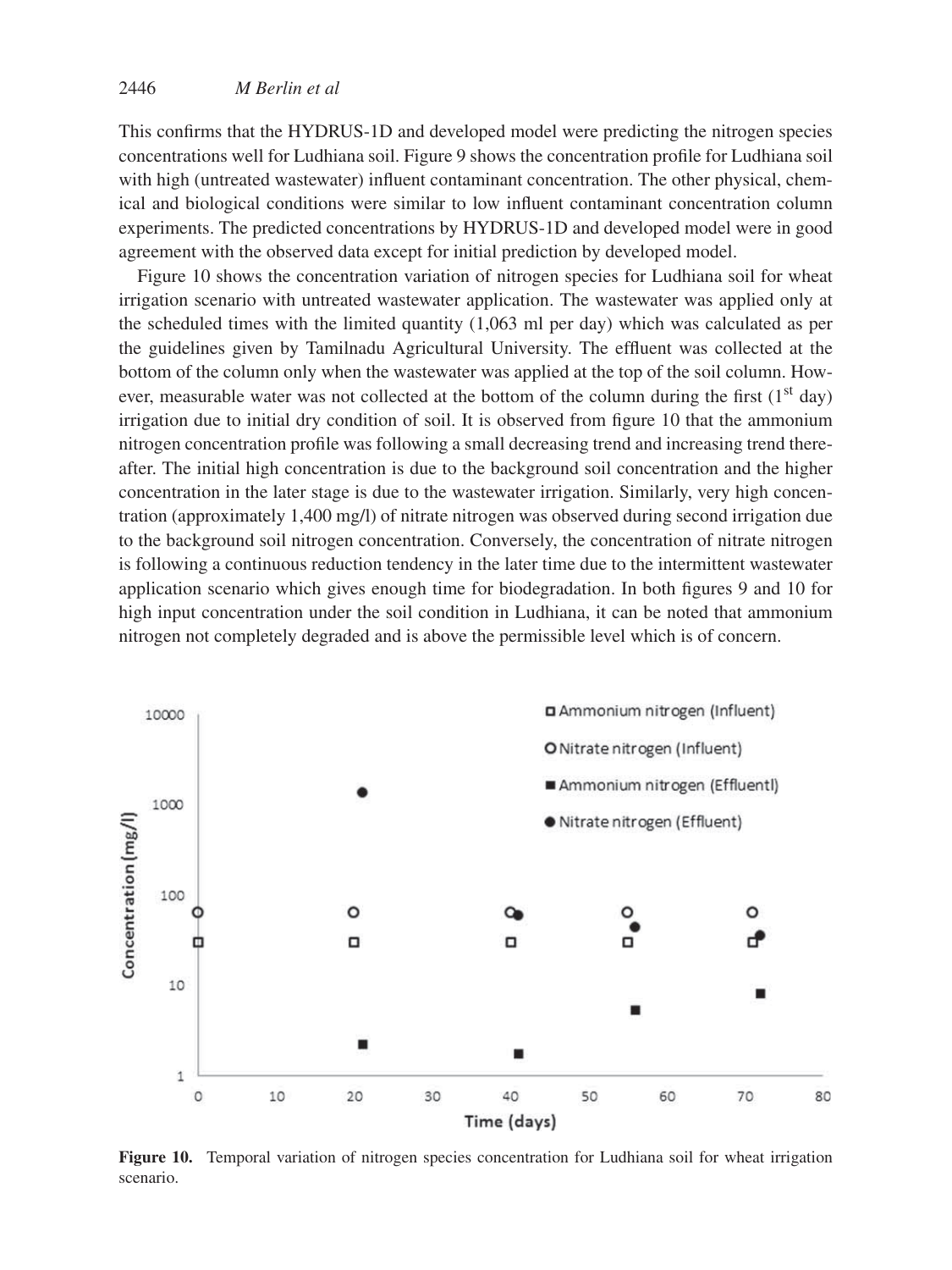This confirms that the HYDRUS-1D and developed model were predicting the nitrogen species concentrations well for Ludhiana soil. Figure 9 shows the concentration profile for Ludhiana soil with high (untreated wastewater) influent contaminant concentration. The other physical, chemical and biological conditions were similar to low influent contaminant concentration column experiments. The predicted concentrations by HYDRUS-1D and developed model were in good agreement with the observed data except for initial prediction by developed model.

Figure 10 shows the concentration variation of nitrogen species for Ludhiana soil for wheat irrigation scenario with untreated wastewater application. The wastewater was applied only at the scheduled times with the limited quantity (1,063 ml per day) which was calculated as per the guidelines given by Tamilnadu Agricultural University. The effluent was collected at the bottom of the column only when the wastewater was applied at the top of the soil column. However, measurable water was not collected at the bottom of the column during the first  $(1<sup>st</sup> day)$ irrigation due to initial dry condition of soil. It is observed from figure 10 that the ammonium nitrogen concentration profile was following a small decreasing trend and increasing trend thereafter. The initial high concentration is due to the background soil concentration and the higher concentration in the later stage is due to the wastewater irrigation. Similarly, very high concentration (approximately 1,400 mg/l) of nitrate nitrogen was observed during second irrigation due to the background soil nitrogen concentration. Conversely, the concentration of nitrate nitrogen is following a continuous reduction tendency in the later time due to the intermittent wastewater application scenario which gives enough time for biodegradation. In both figures 9 and 10 for high input concentration under the soil condition in Ludhiana, it can be noted that ammonium nitrogen not completely degraded and is above the permissible level which is of concern.



**Figure 10.** Temporal variation of nitrogen species concentration for Ludhiana soil for wheat irrigation scenario.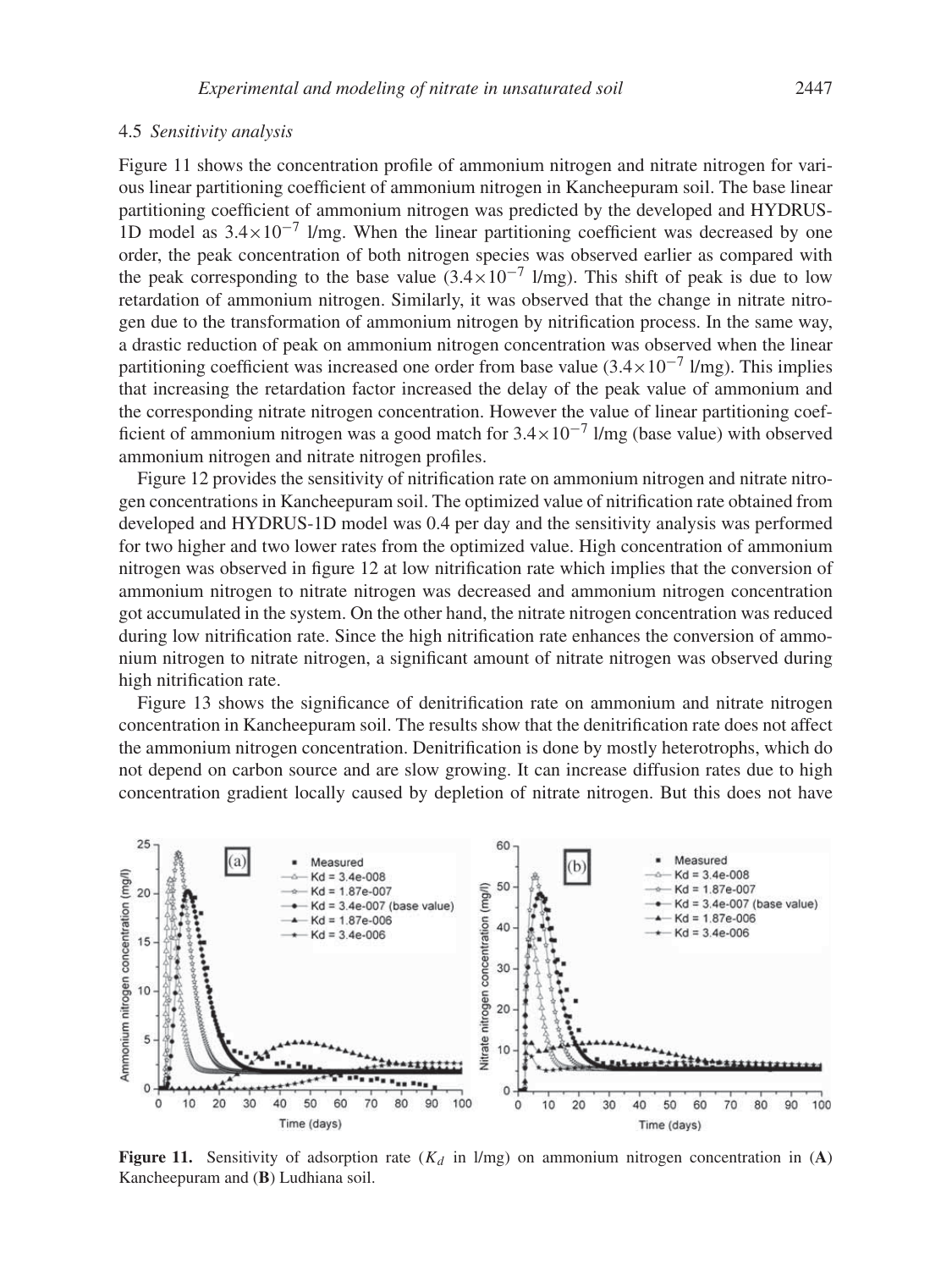#### 4.5 *Sensitivity analysis*

Figure 11 shows the concentration profile of ammonium nitrogen and nitrate nitrogen for various linear partitioning coefficient of ammonium nitrogen in Kancheepuram soil. The base linear partitioning coefficient of ammonium nitrogen was predicted by the developed and HYDRUS-1D model as  $3.4 \times 10^{-7}$  l/mg. When the linear partitioning coefficient was decreased by one order, the peak concentration of both nitrogen species was observed earlier as compared with the peak corresponding to the base value  $(3.4 \times 10^{-7} \text{ J/mg})$ . This shift of peak is due to low retardation of ammonium nitrogen. Similarly, it was observed that the change in nitrate nitrogen due to the transformation of ammonium nitrogen by nitrification process. In the same way, a drastic reduction of peak on ammonium nitrogen concentration was observed when the linear partitioning coefficient was increased one order from base value  $(3.4 \times 10^{-7}$  l/mg). This implies that increasing the retardation factor increased the delay of the peak value of ammonium and the corresponding nitrate nitrogen concentration. However the value of linear partitioning coefficient of ammonium nitrogen was a good match for  $3.4 \times 10^{-7}$  l/mg (base value) with observed ammonium nitrogen and nitrate nitrogen profiles.

Figure 12 provides the sensitivity of nitrification rate on ammonium nitrogen and nitrate nitrogen concentrations in Kancheepuram soil. The optimized value of nitrification rate obtained from developed and HYDRUS-1D model was 0.4 per day and the sensitivity analysis was performed for two higher and two lower rates from the optimized value. High concentration of ammonium nitrogen was observed in figure 12 at low nitrification rate which implies that the conversion of ammonium nitrogen to nitrate nitrogen was decreased and ammonium nitrogen concentration got accumulated in the system. On the other hand, the nitrate nitrogen concentration was reduced during low nitrification rate. Since the high nitrification rate enhances the conversion of ammonium nitrogen to nitrate nitrogen, a significant amount of nitrate nitrogen was observed during high nitrification rate.

Figure 13 shows the significance of denitrification rate on ammonium and nitrate nitrogen concentration in Kancheepuram soil. The results show that the denitrification rate does not affect the ammonium nitrogen concentration. Denitrification is done by mostly heterotrophs, which do not depend on carbon source and are slow growing. It can increase diffusion rates due to high concentration gradient locally caused by depletion of nitrate nitrogen. But this does not have



**Figure 11.** Sensitivity of adsorption rate  $(K<sub>d</sub>$  in l/mg) on ammonium nitrogen concentration in (**A**) Kancheepuram and (**B**) Ludhiana soil.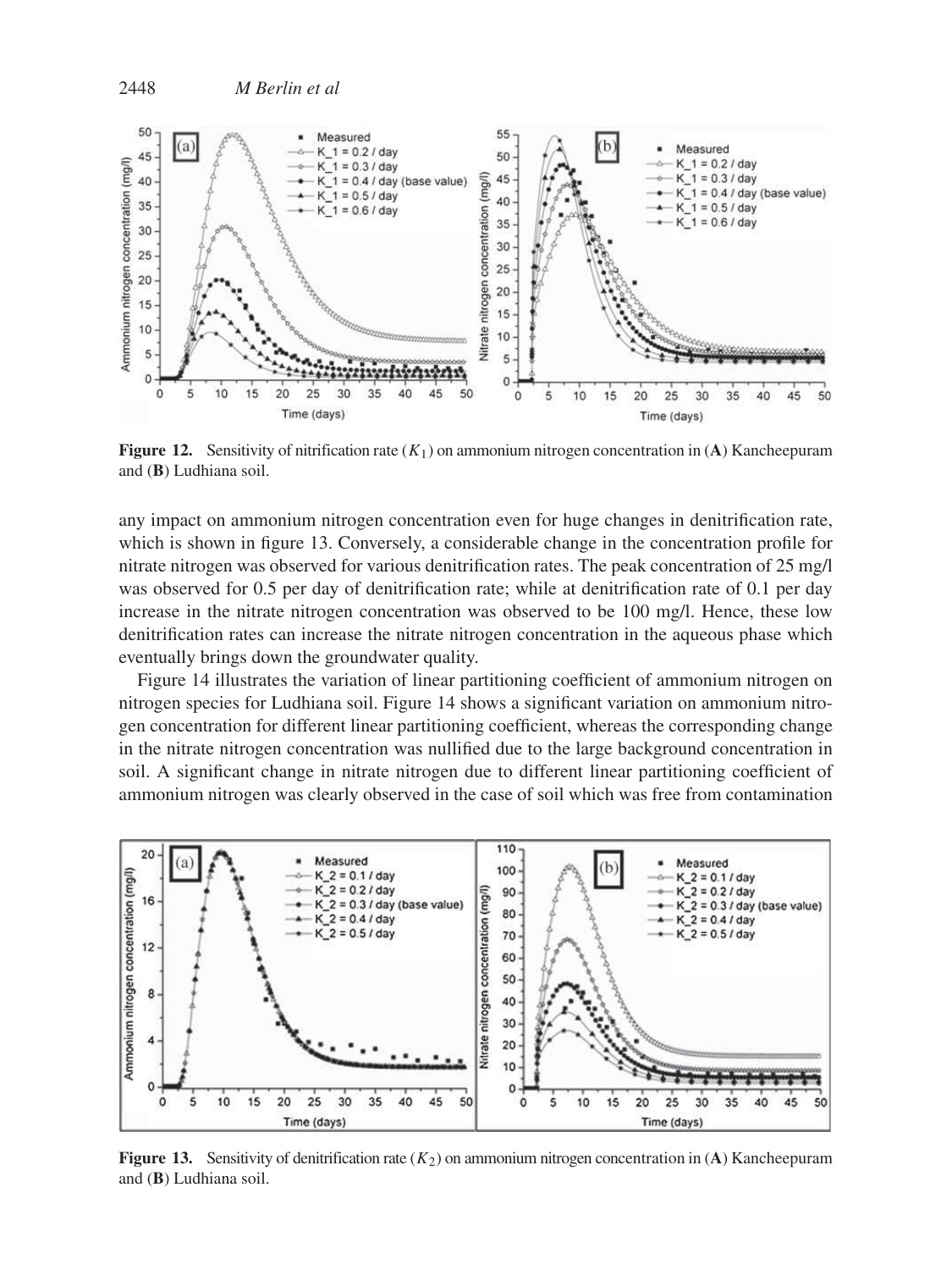

**Figure 12.** Sensitivity of nitrification rate  $(K_1)$  on ammonium nitrogen concentration in  $(A)$  Kancheepuram and (**B**) Ludhiana soil.

any impact on ammonium nitrogen concentration even for huge changes in denitrification rate, which is shown in figure 13. Conversely, a considerable change in the concentration profile for nitrate nitrogen was observed for various denitrification rates. The peak concentration of 25 mg/l was observed for 0.5 per day of denitrification rate; while at denitrification rate of 0.1 per day increase in the nitrate nitrogen concentration was observed to be 100 mg/l. Hence, these low denitrification rates can increase the nitrate nitrogen concentration in the aqueous phase which eventually brings down the groundwater quality.

Figure 14 illustrates the variation of linear partitioning coefficient of ammonium nitrogen on nitrogen species for Ludhiana soil. Figure 14 shows a significant variation on ammonium nitrogen concentration for different linear partitioning coefficient, whereas the corresponding change in the nitrate nitrogen concentration was nullified due to the large background concentration in soil. A significant change in nitrate nitrogen due to different linear partitioning coefficient of ammonium nitrogen was clearly observed in the case of soil which was free from contamination



**Figure 13.** Sensitivity of denitrification rate  $(K_2)$  on ammonium nitrogen concentration in (A) Kancheepuram and (**B**) Ludhiana soil.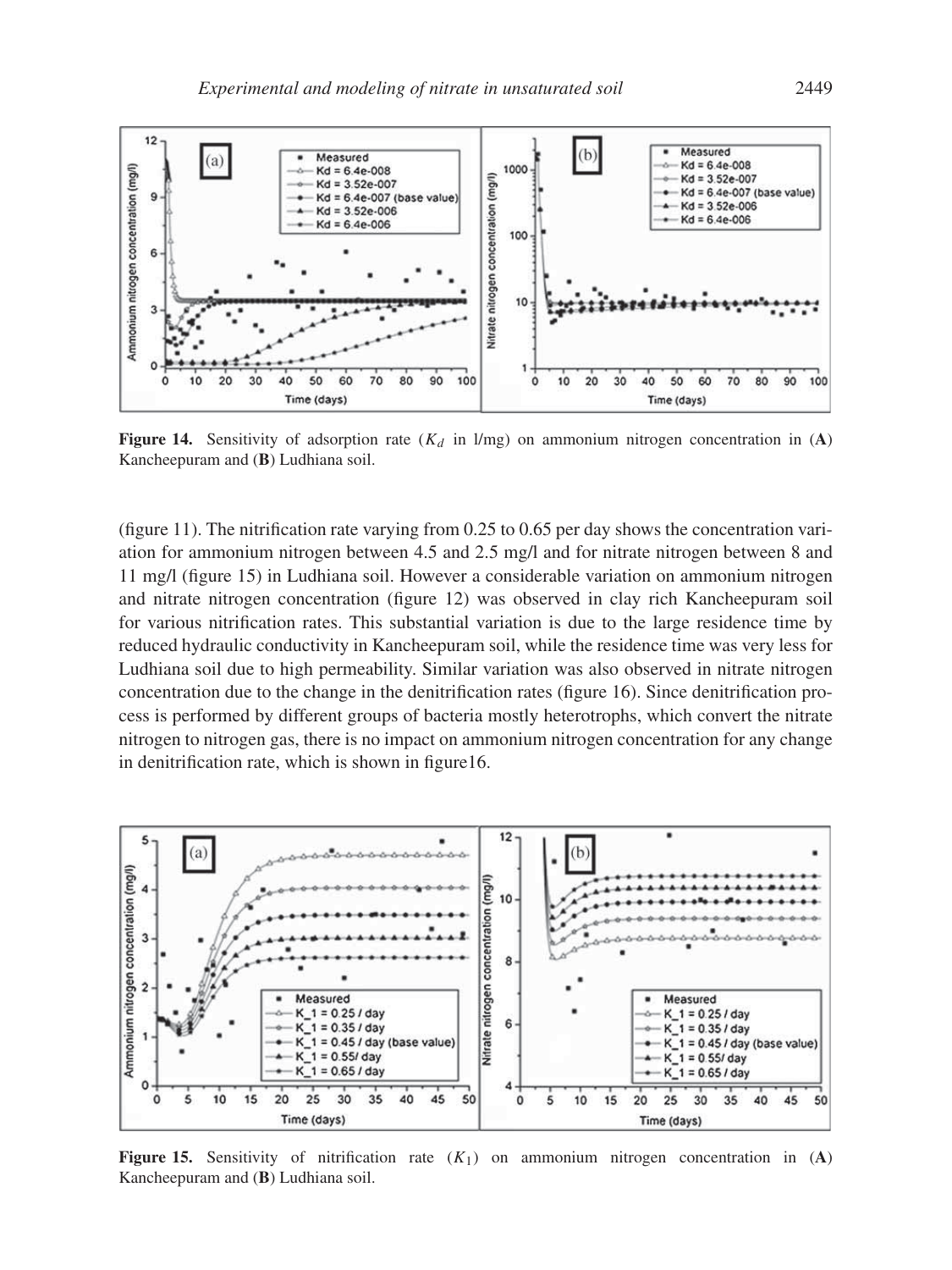

**Figure 14.** Sensitivity of adsorption rate  $(K_d$  in l/mg) on ammonium nitrogen concentration in (A) Kancheepuram and (**B**) Ludhiana soil.

(figure 11). The nitrification rate varying from 0.25 to 0.65 per day shows the concentration variation for ammonium nitrogen between 4.5 and 2.5 mg/l and for nitrate nitrogen between 8 and 11 mg/l (figure 15) in Ludhiana soil. However a considerable variation on ammonium nitrogen and nitrate nitrogen concentration (figure 12) was observed in clay rich Kancheepuram soil for various nitrification rates. This substantial variation is due to the large residence time by reduced hydraulic conductivity in Kancheepuram soil, while the residence time was very less for Ludhiana soil due to high permeability. Similar variation was also observed in nitrate nitrogen concentration due to the change in the denitrification rates (figure 16). Since denitrification process is performed by different groups of bacteria mostly heterotrophs, which convert the nitrate nitrogen to nitrogen gas, there is no impact on ammonium nitrogen concentration for any change in denitrification rate, which is shown in figure16.



**Figure 15.** Sensitivity of nitrification rate  $(K_1)$  on ammonium nitrogen concentration in  $(A)$ Kancheepuram and (**B**) Ludhiana soil.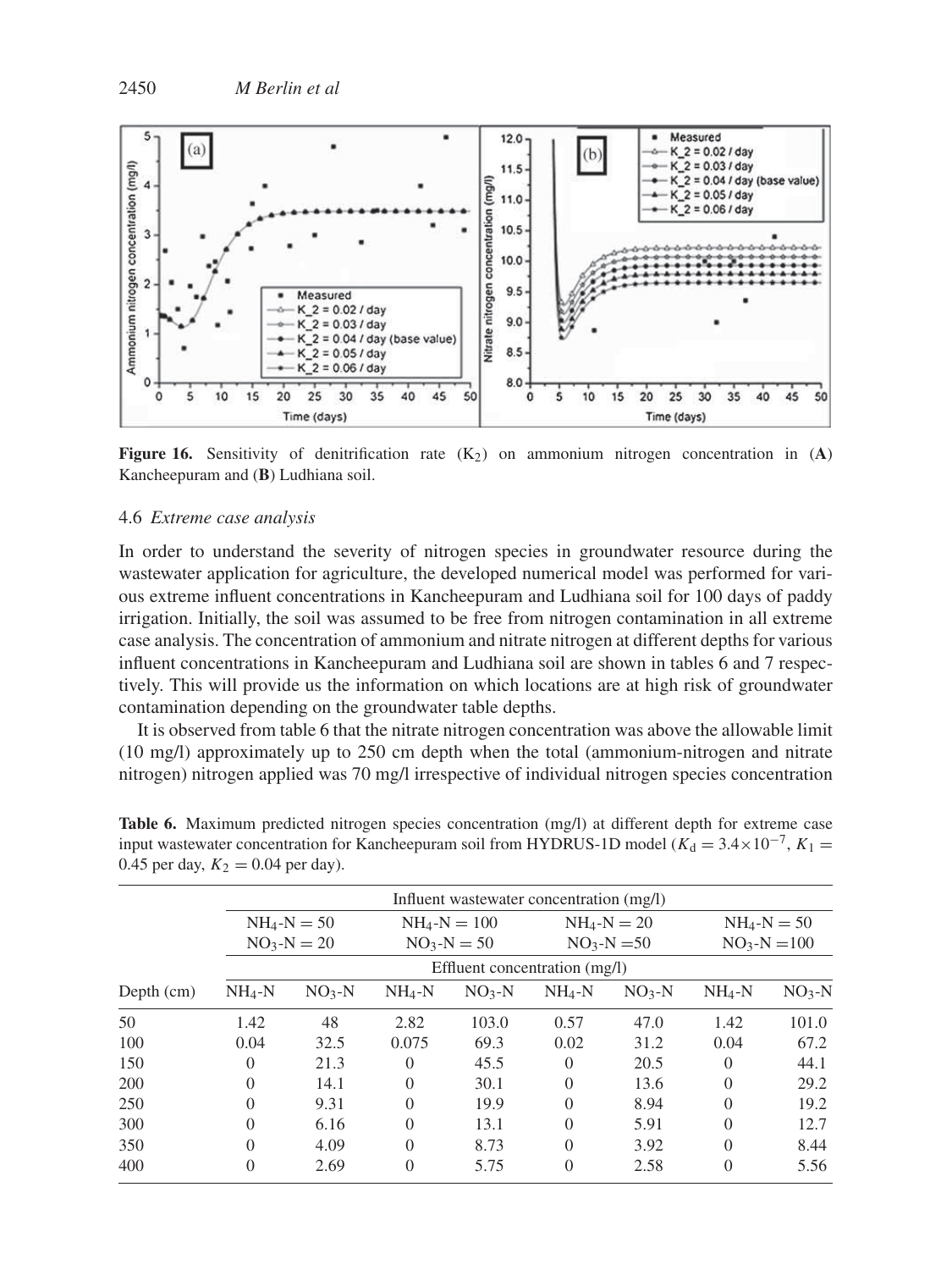

**Figure 16.** Sensitivity of denitrification rate (K2) on ammonium nitrogen concentration in (**A**) Kancheepuram and (**B**) Ludhiana soil.

#### 4.6 *Extreme case analysis*

In order to understand the severity of nitrogen species in groundwater resource during the wastewater application for agriculture, the developed numerical model was performed for various extreme influent concentrations in Kancheepuram and Ludhiana soil for 100 days of paddy irrigation. Initially, the soil was assumed to be free from nitrogen contamination in all extreme case analysis. The concentration of ammonium and nitrate nitrogen at different depths for various influent concentrations in Kancheepuram and Ludhiana soil are shown in tables 6 and 7 respectively. This will provide us the information on which locations are at high risk of groundwater contamination depending on the groundwater table depths.

It is observed from table 6 that the nitrate nitrogen concentration was above the allowable limit (10 mg/l) approximately up to 250 cm depth when the total (ammonium-nitrogen and nitrate nitrogen) nitrogen applied was 70 mg/l irrespective of individual nitrogen species concentration

|              | Influent wastewater concentration (mg/l) |               |               |                               |               |             |                |             |  |
|--------------|------------------------------------------|---------------|---------------|-------------------------------|---------------|-------------|----------------|-------------|--|
|              |                                          | $NH_4-N=50$   |               | $NH_4-N = 100$                |               | $NH_4-N=20$ |                | $NH_4-N=50$ |  |
|              |                                          | $NO_3-N = 20$ | $NO_3-N = 50$ |                               | $NO_3-N = 50$ |             | $NO_3-N = 100$ |             |  |
|              |                                          |               |               | Effluent concentration (mg/l) |               |             |                |             |  |
| Depth $(cm)$ | $NH_4-N$                                 | $NO3-N$       | $NH_4-N$      | $NO3-N$                       | $NH_4-N$      | $NO3-N$     | $NH_4-N$       | $NO3-N$     |  |
| 50           | 1.42                                     | 48            | 2.82          | 103.0                         | 0.57          | 47.0        | 1.42           | 101.0       |  |
| 100          | 0.04                                     | 32.5          | 0.075         | 69.3                          | 0.02          | 31.2        | 0.04           | 67.2        |  |
| 150          | 0                                        | 21.3          | $\Omega$      | 45.5                          | $\Omega$      | 20.5        | $\Omega$       | 44.1        |  |
| 200          | $\Omega$                                 | 14.1          | $\Omega$      | 30.1                          | $\Omega$      | 13.6        | $\Omega$       | 29.2        |  |
| 250          | $\theta$                                 | 9.31          | $\Omega$      | 19.9                          | $\Omega$      | 8.94        | $\Omega$       | 19.2        |  |
| 300          | $\Omega$                                 | 6.16          | $\Omega$      | 13.1                          | $\Omega$      | 5.91        | $\Omega$       | 12.7        |  |
| 350          | $\Omega$                                 | 4.09          | $\Omega$      | 8.73                          | $\Omega$      | 3.92        | $\Omega$       | 8.44        |  |
| 400          | $\Omega$                                 | 2.69          | $\Omega$      | 5.75                          | $\Omega$      | 2.58        | $\Omega$       | 5.56        |  |

**Table 6.** Maximum predicted nitrogen species concentration (mg/l) at different depth for extreme case input wastewater concentration for Kancheepuram soil from HYDRUS-1D model ( $K_d = 3.4 \times 10^{-7}$ ,  $K_1 =$ 0.45 per day,  $K_2 = 0.04$  per day).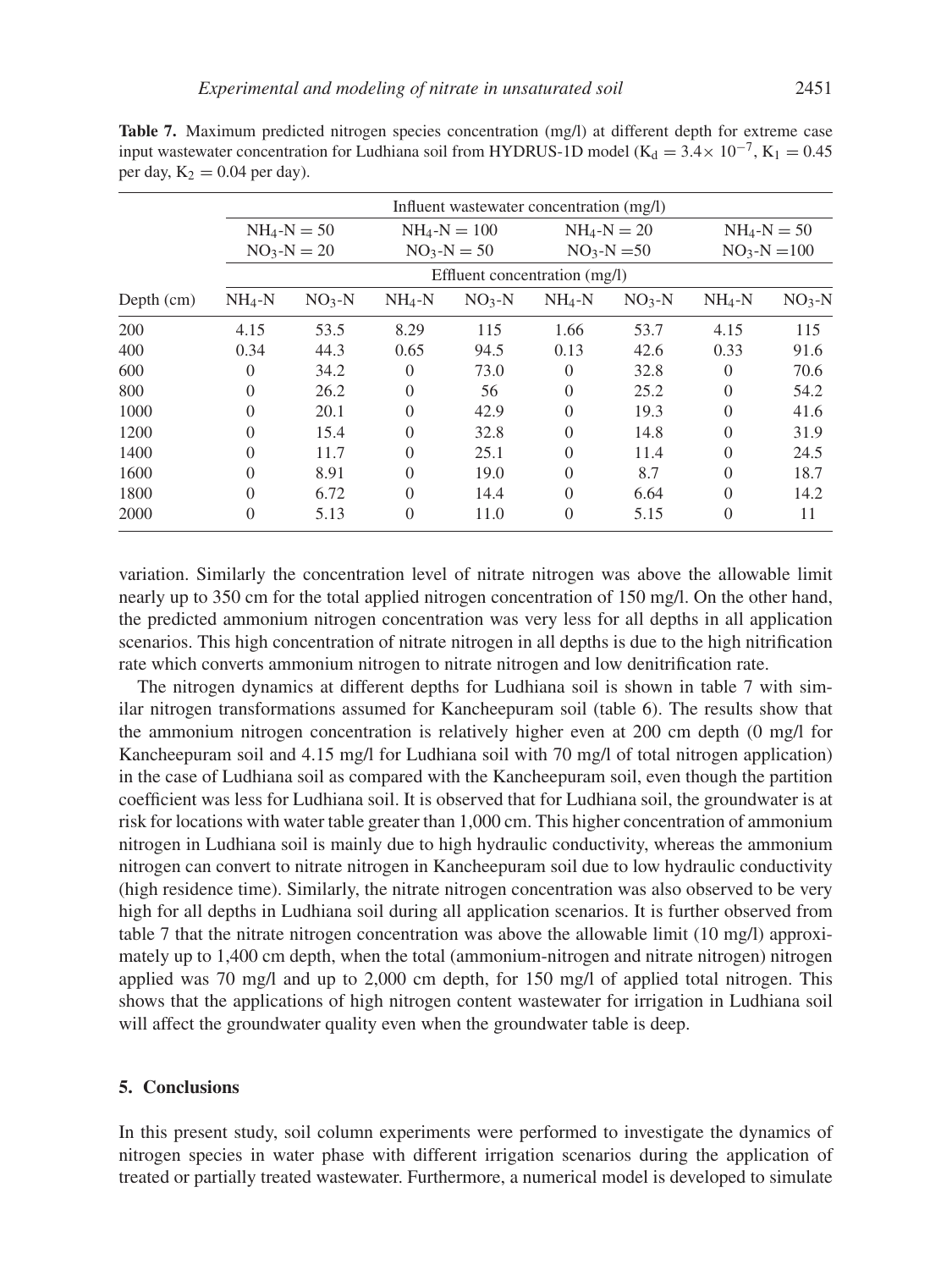|              | Influent was tewater concentration (mg/l) |               |                |                               |               |               |               |             |  |
|--------------|-------------------------------------------|---------------|----------------|-------------------------------|---------------|---------------|---------------|-------------|--|
|              | $NH_4-N = 50$                             |               |                | $NH_4-N = 100$                |               | $NH_4-N = 20$ |               | $NH_4-N=50$ |  |
|              |                                           | $NO_3-N = 20$ | $NO_3-N = 50$  |                               | $NO_3-N = 50$ |               | $NO3-N = 100$ |             |  |
|              |                                           |               |                | Effluent concentration (mg/l) |               |               |               |             |  |
| Depth $(cm)$ | $NH_4-N$                                  | $NO3-N$       | $NH_4-N$       | $NO3-N$                       | $NH_4-N$      | $NO3-N$       | $NH_4-N$      | $NO3-N$     |  |
| 200          | 4.15                                      | 53.5          | 8.29           | 115                           | 1.66          | 53.7          | 4.15          | 115         |  |
| 400          | 0.34                                      | 44.3          | 0.65           | 94.5                          | 0.13          | 42.6          | 0.33          | 91.6        |  |
| 600          | $\Omega$                                  | 34.2          | $\theta$       | 73.0                          | 0             | 32.8          | $\Omega$      | 70.6        |  |
| 800          | $\Omega$                                  | 26.2          | $\theta$       | 56                            | $\Omega$      | 25.2          | $\Omega$      | 54.2        |  |
| 1000         | $\Omega$                                  | 20.1          | $\theta$       | 42.9                          | $\theta$      | 19.3          | $\Omega$      | 41.6        |  |
| 1200         | $\Omega$                                  | 15.4          | $\Omega$       | 32.8                          | $\Omega$      | 14.8          | $\Omega$      | 31.9        |  |
| 1400         | 0                                         | 11.7          | $\overline{0}$ | 25.1                          | $\theta$      | 11.4          | $\Omega$      | 24.5        |  |
| 1600         | 0                                         | 8.91          | $\theta$       | 19.0                          | 0             | 8.7           | $\Omega$      | 18.7        |  |
| 1800         | $\Omega$                                  | 6.72          | $\Omega$       | 14.4                          | $\theta$      | 6.64          | $\Omega$      | 14.2        |  |
| 2000         | $\Omega$                                  | 5.13          | $\overline{0}$ | 11.0                          | $\theta$      | 5.15          | $\Omega$      | 11          |  |

**Table 7.** Maximum predicted nitrogen species concentration (mg/l) at different depth for extreme case input wastewater concentration for Ludhiana soil from HYDRUS-1D model (K<sub>d</sub> = 3.4× 10<sup>-7</sup>, K<sub>1</sub> = 0.45 per day,  $K_2 = 0.04$  per day).

variation. Similarly the concentration level of nitrate nitrogen was above the allowable limit nearly up to 350 cm for the total applied nitrogen concentration of 150 mg/l. On the other hand, the predicted ammonium nitrogen concentration was very less for all depths in all application scenarios. This high concentration of nitrate nitrogen in all depths is due to the high nitrification rate which converts ammonium nitrogen to nitrate nitrogen and low denitrification rate.

The nitrogen dynamics at different depths for Ludhiana soil is shown in table 7 with similar nitrogen transformations assumed for Kancheepuram soil (table 6). The results show that the ammonium nitrogen concentration is relatively higher even at 200 cm depth (0 mg/l for Kancheepuram soil and 4.15 mg/l for Ludhiana soil with 70 mg/l of total nitrogen application) in the case of Ludhiana soil as compared with the Kancheepuram soil, even though the partition coefficient was less for Ludhiana soil. It is observed that for Ludhiana soil, the groundwater is at risk for locations with water table greater than 1,000 cm. This higher concentration of ammonium nitrogen in Ludhiana soil is mainly due to high hydraulic conductivity, whereas the ammonium nitrogen can convert to nitrate nitrogen in Kancheepuram soil due to low hydraulic conductivity (high residence time). Similarly, the nitrate nitrogen concentration was also observed to be very high for all depths in Ludhiana soil during all application scenarios. It is further observed from table 7 that the nitrate nitrogen concentration was above the allowable limit (10 mg/l) approximately up to 1,400 cm depth, when the total (ammonium-nitrogen and nitrate nitrogen) nitrogen applied was 70 mg/l and up to 2,000 cm depth, for 150 mg/l of applied total nitrogen. This shows that the applications of high nitrogen content wastewater for irrigation in Ludhiana soil will affect the groundwater quality even when the groundwater table is deep.

# **5. Conclusions**

In this present study, soil column experiments were performed to investigate the dynamics of nitrogen species in water phase with different irrigation scenarios during the application of treated or partially treated wastewater. Furthermore, a numerical model is developed to simulate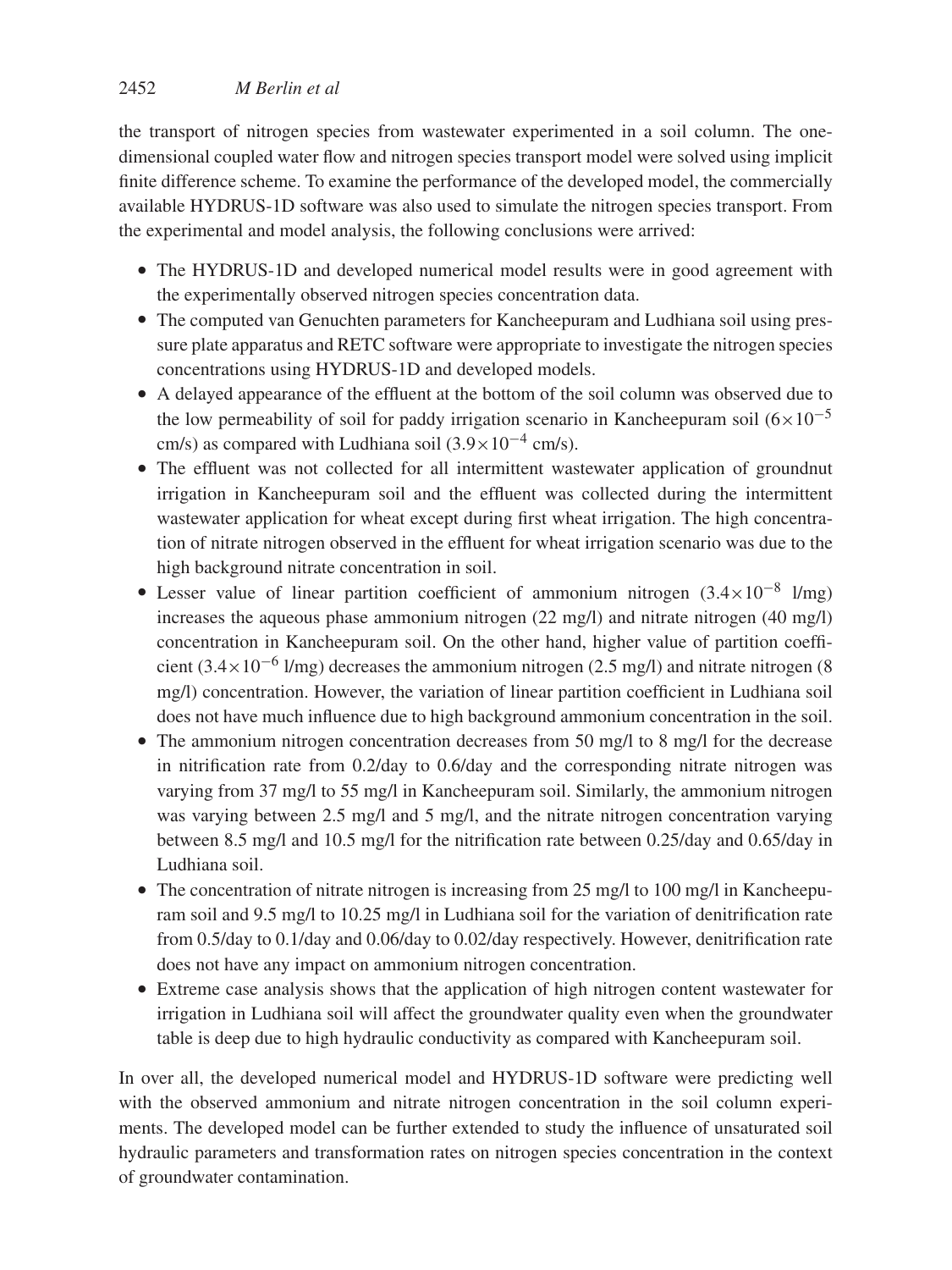the transport of nitrogen species from wastewater experimented in a soil column. The onedimensional coupled water flow and nitrogen species transport model were solved using implicit finite difference scheme. To examine the performance of the developed model, the commercially available HYDRUS-1D software was also used to simulate the nitrogen species transport. From the experimental and model analysis, the following conclusions were arrived:

- The HYDRUS-1D and developed numerical model results were in good agreement with the experimentally observed nitrogen species concentration data.
- The computed van Genuchten parameters for Kancheepuram and Ludhiana soil using pressure plate apparatus and RETC software were appropriate to investigate the nitrogen species concentrations using HYDRUS-1D and developed models.
- A delayed appearance of the effluent at the bottom of the soil column was observed due to the low permeability of soil for paddy irrigation scenario in Kancheepuram soil  $(6\times10^{-5}$ cm/s) as compared with Ludhiana soil  $(3.9 \times 10^{-4}$  cm/s).
- The effluent was not collected for all intermittent wastewater application of groundnut irrigation in Kancheepuram soil and the effluent was collected during the intermittent wastewater application for wheat except during first wheat irrigation. The high concentration of nitrate nitrogen observed in the effluent for wheat irrigation scenario was due to the high background nitrate concentration in soil.
- Lesser value of linear partition coefficient of ammonium nitrogen  $(3.4 \times 10^{-8}$  l/mg) increases the aqueous phase ammonium nitrogen (22 mg/l) and nitrate nitrogen (40 mg/l) concentration in Kancheepuram soil. On the other hand, higher value of partition coefficient (3.4×10<sup>-6</sup> l/mg) decreases the ammonium nitrogen (2.5 mg/l) and nitrate nitrogen (8 mg/l) concentration. However, the variation of linear partition coefficient in Ludhiana soil does not have much influence due to high background ammonium concentration in the soil.
- The ammonium nitrogen concentration decreases from 50 mg/l to 8 mg/l for the decrease in nitrification rate from 0.2/day to 0.6/day and the corresponding nitrate nitrogen was varying from 37 mg/l to 55 mg/l in Kancheepuram soil. Similarly, the ammonium nitrogen was varying between 2.5 mg/l and 5 mg/l, and the nitrate nitrogen concentration varying between 8.5 mg/l and 10.5 mg/l for the nitrification rate between 0.25/day and 0.65/day in Ludhiana soil.
- The concentration of nitrate nitrogen is increasing from 25 mg/l to 100 mg/l in Kancheepuram soil and 9.5 mg/l to 10.25 mg/l in Ludhiana soil for the variation of denitrification rate from 0.5/day to 0.1/day and 0.06/day to 0.02/day respectively. However, denitrification rate does not have any impact on ammonium nitrogen concentration.
- Extreme case analysis shows that the application of high nitrogen content wastewater for irrigation in Ludhiana soil will affect the groundwater quality even when the groundwater table is deep due to high hydraulic conductivity as compared with Kancheepuram soil.

In over all, the developed numerical model and HYDRUS-1D software were predicting well with the observed ammonium and nitrate nitrogen concentration in the soil column experiments. The developed model can be further extended to study the influence of unsaturated soil hydraulic parameters and transformation rates on nitrogen species concentration in the context of groundwater contamination.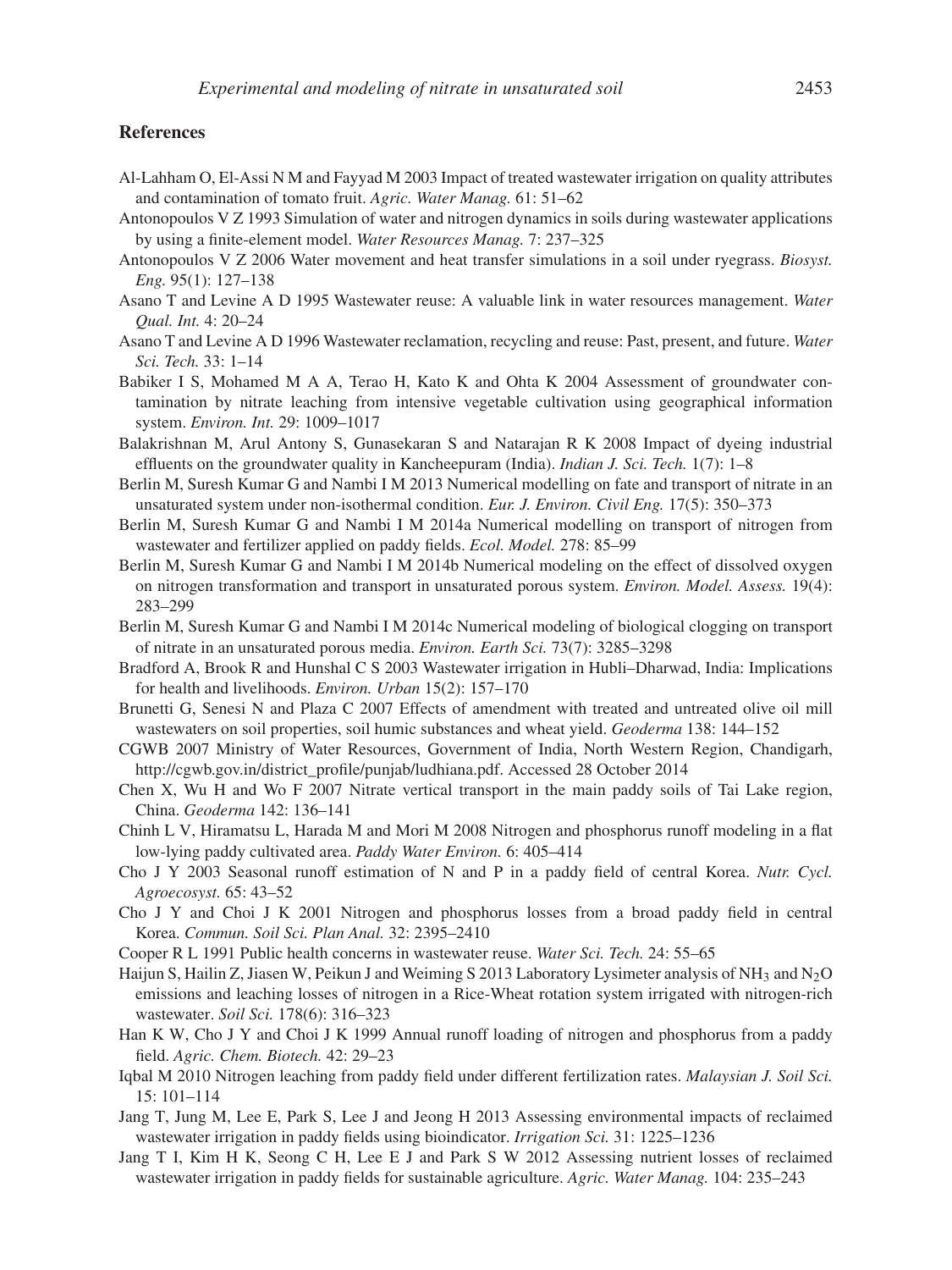# **References**

- Al-Lahham O, El-Assi N M and Fayyad M 2003 Impact of treated wastewater irrigation on quality attributes and contamination of tomato fruit. *Agric. Water Manag.* 61: 51–62
- Antonopoulos V Z 1993 Simulation of water and nitrogen dynamics in soils during wastewater applications by using a finite-element model. *Water Resources Manag.* 7: 237–325
- Antonopoulos V Z 2006 Water movement and heat transfer simulations in a soil under ryegrass. *Biosyst. Eng.* 95(1): 127–138
- Asano T and Levine A D 1995 Wastewater reuse: A valuable link in water resources management. *Water Qual. Int.* 4: 20–24
- Asano T and Levine A D 1996 Wastewater reclamation, recycling and reuse: Past, present, and future. *Water Sci. Tech.* 33: 1–14
- Babiker I S, Mohamed M A A, Terao H, Kato K and Ohta K 2004 Assessment of groundwater contamination by nitrate leaching from intensive vegetable cultivation using geographical information system. *Environ. Int.* 29: 1009–1017
- Balakrishnan M, Arul Antony S, Gunasekaran S and Natarajan R K 2008 Impact of dyeing industrial effluents on the groundwater quality in Kancheepuram (India). *Indian J. Sci. Tech.* 1(7): 1–8
- Berlin M, Suresh Kumar G and Nambi I M 2013 Numerical modelling on fate and transport of nitrate in an unsaturated system under non-isothermal condition. *Eur. J. Environ. Civil Eng.* 17(5): 350–373
- Berlin M, Suresh Kumar G and Nambi I M 2014a Numerical modelling on transport of nitrogen from wastewater and fertilizer applied on paddy fields. *Ecol. Model.* 278: 85–99
- Berlin M, Suresh Kumar G and Nambi I M 2014b Numerical modeling on the effect of dissolved oxygen on nitrogen transformation and transport in unsaturated porous system. *Environ. Model. Assess.* 19(4): 283–299
- Berlin M, Suresh Kumar G and Nambi I M 2014c Numerical modeling of biological clogging on transport of nitrate in an unsaturated porous media. *Environ. Earth Sci.* 73(7): 3285–3298
- Bradford A, Brook R and Hunshal C S 2003 Wastewater irrigation in Hubli–Dharwad, India: Implications for health and livelihoods. *Environ. Urban* 15(2): 157–170
- Brunetti G, Senesi N and Plaza C 2007 Effects of amendment with treated and untreated olive oil mill wastewaters on soil properties, soil humic substances and wheat yield. *Geoderma* 138: 144–152
- CGWB 2007 Ministry of Water Resources, Government of India, North Western Region, Chandigarh, http://cgwb.gov.in/district\_profile/punjab/ludhiana.pdf. Accessed 28 October 2014
- Chen X, Wu H and Wo F 2007 Nitrate vertical transport in the main paddy soils of Tai Lake region, China. *Geoderma* 142: 136–141
- Chinh L V, Hiramatsu L, Harada M and Mori M 2008 Nitrogen and phosphorus runoff modeling in a flat low-lying paddy cultivated area. *Paddy Water Environ.* 6: 405–414
- Cho J Y 2003 Seasonal runoff estimation of N and P in a paddy field of central Korea. *Nutr. Cycl. Agroecosyst.* 65: 43–52
- Cho J Y and Choi J K 2001 Nitrogen and phosphorus losses from a broad paddy field in central Korea. *Commun. Soil Sci. Plan Anal.* 32: 2395–2410
- Cooper R L 1991 Public health concerns in wastewater reuse. *Water Sci. Tech.* 24: 55–65
- Haijun S, Hailin Z, Jiasen W, Peikun J and Weiming S 2013 Laboratory Lysimeter analysis of NH<sub>3</sub> and N<sub>2</sub>O emissions and leaching losses of nitrogen in a Rice-Wheat rotation system irrigated with nitrogen-rich wastewater. *Soil Sci.* 178(6): 316–323
- Han K W, Cho J Y and Choi J K 1999 Annual runoff loading of nitrogen and phosphorus from a paddy field. *Agric. Chem. Biotech.* 42: 29–23
- Iqbal M 2010 Nitrogen leaching from paddy field under different fertilization rates. *Malaysian J. Soil Sci.* 15: 101–114
- Jang T, Jung M, Lee E, Park S, Lee J and Jeong H 2013 Assessing environmental impacts of reclaimed wastewater irrigation in paddy fields using bioindicator. *Irrigation Sci.* 31: 1225–1236
- Jang T I, Kim H K, Seong C H, Lee E J and Park S W 2012 Assessing nutrient losses of reclaimed wastewater irrigation in paddy fields for sustainable agriculture. *Agric. Water Manag.* 104: 235–243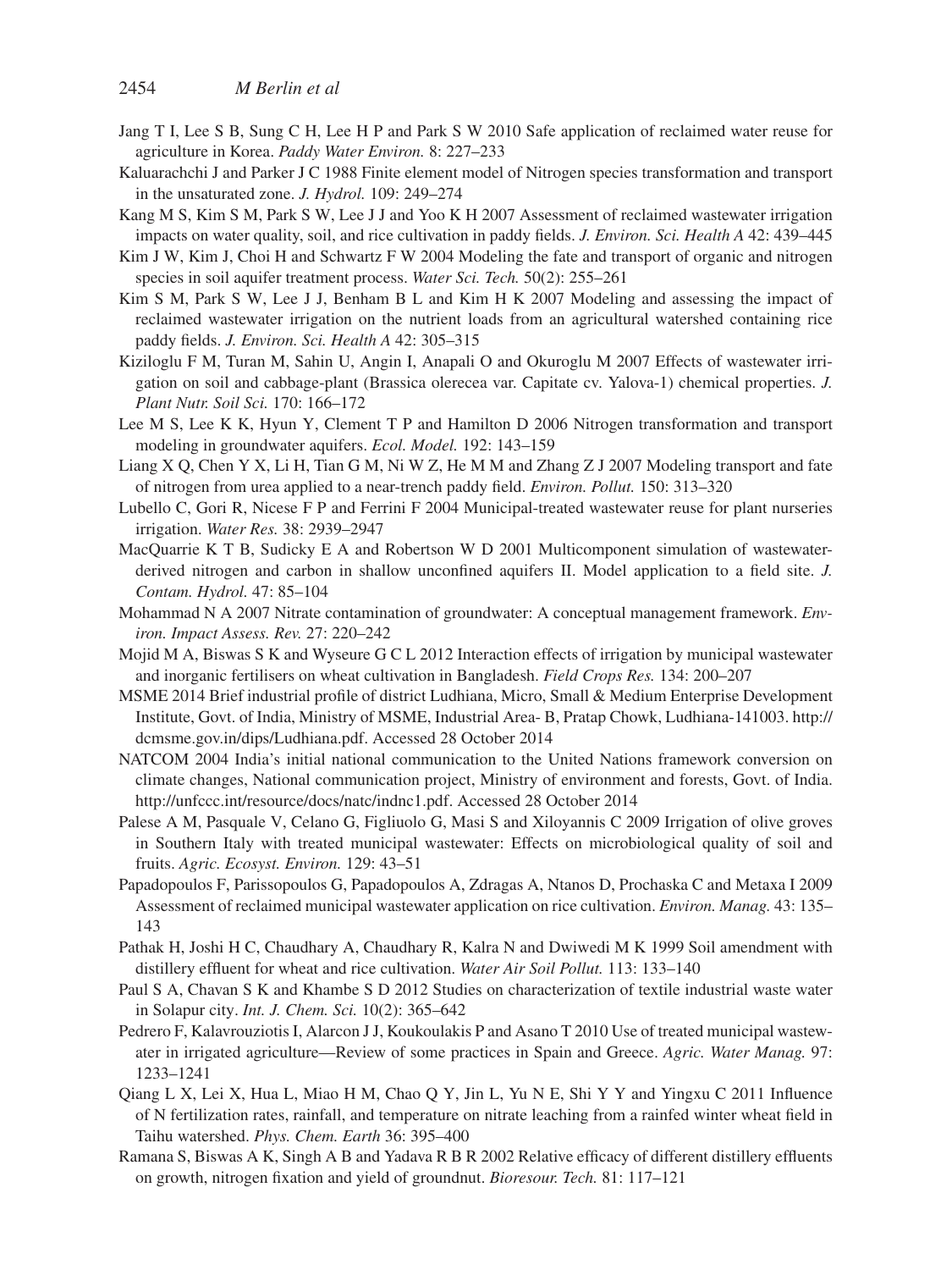- Jang T I, Lee S B, Sung C H, Lee H P and Park S W 2010 Safe application of reclaimed water reuse for agriculture in Korea. *Paddy Water Environ.* 8: 227–233
- Kaluarachchi J and Parker J C 1988 Finite element model of Nitrogen species transformation and transport in the unsaturated zone. *J. Hydrol.* 109: 249–274
- Kang M S, Kim S M, Park S W, Lee J J and Yoo K H 2007 Assessment of reclaimed wastewater irrigation impacts on water quality, soil, and rice cultivation in paddy fields. *J. Environ. Sci. Health A* 42: 439–445
- Kim J W, Kim J, Choi H and Schwartz F W 2004 Modeling the fate and transport of organic and nitrogen species in soil aquifer treatment process. *Water Sci. Tech.* 50(2): 255–261
- Kim S M, Park S W, Lee J J, Benham B L and Kim H K 2007 Modeling and assessing the impact of reclaimed wastewater irrigation on the nutrient loads from an agricultural watershed containing rice paddy fields. *J. Environ. Sci. Health A* 42: 305–315
- Kiziloglu F M, Turan M, Sahin U, Angin I, Anapali O and Okuroglu M 2007 Effects of wastewater irrigation on soil and cabbage-plant (Brassica olerecea var. Capitate cv. Yalova-1) chemical properties. *J. Plant Nutr. Soil Sci.* 170: 166–172
- Lee M S, Lee K K, Hyun Y, Clement T P and Hamilton D 2006 Nitrogen transformation and transport modeling in groundwater aquifers. *Ecol. Model.* 192: 143–159
- Liang X Q, Chen Y X, Li H, Tian G M, Ni W Z, He M M and Zhang Z J 2007 Modeling transport and fate of nitrogen from urea applied to a near-trench paddy field. *Environ. Pollut.* 150: 313–320
- Lubello C, Gori R, Nicese F P and Ferrini F 2004 Municipal-treated wastewater reuse for plant nurseries irrigation. *Water Res.* 38: 2939–2947
- MacQuarrie K T B, Sudicky E A and Robertson W D 2001 Multicomponent simulation of wastewaterderived nitrogen and carbon in shallow unconfined aquifers II. Model application to a field site. *J. Contam. Hydrol.* 47: 85–104
- Mohammad N A 2007 Nitrate contamination of groundwater: A conceptual management framework. *Environ. Impact Assess. Rev.* 27: 220–242
- Mojid M A, Biswas S K and WyseureGCL 2012 Interaction effects of irrigation by municipal wastewater and inorganic fertilisers on wheat cultivation in Bangladesh. *Field Crops Res.* 134: 200–207
- MSME 2014 Brief industrial profile of district Ludhiana, Micro, Small & Medium Enterprise Development Institute, Govt. of India, Ministry of MSME, Industrial Area- B, Pratap Chowk, Ludhiana-141003. http:// dcmsme.gov.in/dips/Ludhiana.pdf. Accessed 28 October 2014
- NATCOM 2004 India's initial national communication to the United Nations framework conversion on climate changes, National communication project, Ministry of environment and forests, Govt. of India. http://unfccc.int/resource/docs/natc/indnc1.pdf. Accessed 28 October 2014
- Palese A M, Pasquale V, Celano G, Figliuolo G, Masi S and Xiloyannis C 2009 Irrigation of olive groves in Southern Italy with treated municipal wastewater: Effects on microbiological quality of soil and fruits. *Agric. Ecosyst. Environ.* 129: 43–51
- Papadopoulos F, Parissopoulos G, Papadopoulos A, Zdragas A, Ntanos D, Prochaska C and Metaxa I 2009 Assessment of reclaimed municipal wastewater application on rice cultivation. *Environ. Manag.* 43: 135– 143
- Pathak H, Joshi H C, Chaudhary A, Chaudhary R, Kalra N and Dwiwedi M K 1999 Soil amendment with distillery effluent for wheat and rice cultivation. *Water Air Soil Pollut.* 113: 133–140
- Paul S A, Chavan S K and Khambe S D 2012 Studies on characterization of textile industrial waste water in Solapur city. *Int. J. Chem. Sci.* 10(2): 365–642
- Pedrero F, Kalavrouziotis I, Alarcon J J, Koukoulakis P and Asano T 2010 Use of treated municipal wastewater in irrigated agriculture—Review of some practices in Spain and Greece. *Agric. Water Manag.* 97: 1233–1241
- Qiang L X, Lei X, Hua L, Miao H M, Chao Q Y, Jin L, Yu N E, Shi Y Y and Yingxu C 2011 Influence of N fertilization rates, rainfall, and temperature on nitrate leaching from a rainfed winter wheat field in Taihu watershed. *Phys. Chem. Earth* 36: 395–400
- Ramana S, Biswas A K, Singh A B and Yadava R B R 2002 Relative efficacy of different distillery effluents on growth, nitrogen fixation and yield of groundnut. *Bioresour. Tech.* 81: 117–121